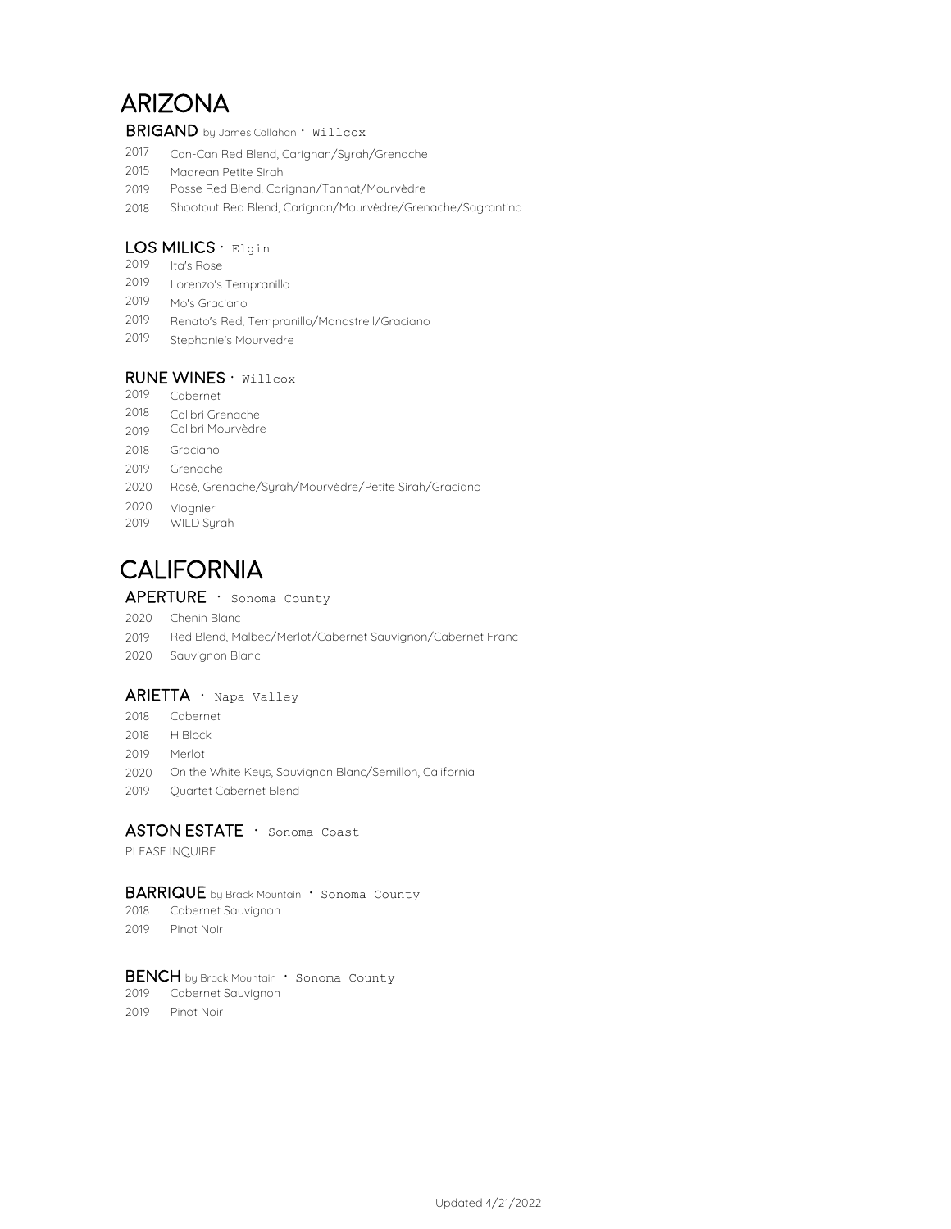# ARIZONA

BRIGAND by James Callahan · Willcox

- 2017 Can-Can Red Blend, Carignan/Syrah/Grenache
- 2015 Madrean Petite Sirah
- 2019 Posse Red Blend, Carignan/Tannat/Mourvèdre
- 2018 Shootout Red Blend, Carignan/Mourvèdre/Grenache/Sagrantino

## LOS MILICS  $\cdot$  Elgin

- 2019 Ita's Rose
- 2019 Lorenzo's Tempranillo
- 2019 Mo's Graciano
- 2019 Renato's Red, Tempranillo/Monostrell/Graciano
- 2019 Stephanie's Mourvedre

## RUNE WINES · Willcox

- 2019 Cabernet 2018 2019 2018 2019 Grenache 2020 Rosé, Grenache/Syrah/Mourvèdre/Petite Sirah/Graciano Graciano Colibri Mourvèdre Colibri Grenache
- 2020 Viognier 2019 WILD Syrah

# **CALIFORNIA**

## APERTURE · Sonoma County

- 2020 Chenin Blanc
- 2019 Red Blend, Malbec/Merlot/Cabernet Sauvignon/Cabernet Franc
- 2020 Sauvignon Blanc

#### $ARIETTA \cdot$  Napa Valley

- 2018 Cabernet
- 2018 H Block
- 2019 Merlot
- 2020 On the White Keys, Sauvignon Blanc/Semillon, California
- 2019 Quartet Cabernet Blend

## ASTON ESTATE · Sonoma Coast

PLEASE INQUIRE

#### BARRIQUE by Brack Mountain · Sonoma County

- 2018 Cabernet Sauvignon
- 2019 Pinot Noir

#### BENCH by Brack Mountain · Sonoma County

- 2019 Cabernet Sauvignon
- 2019 Pinot Noir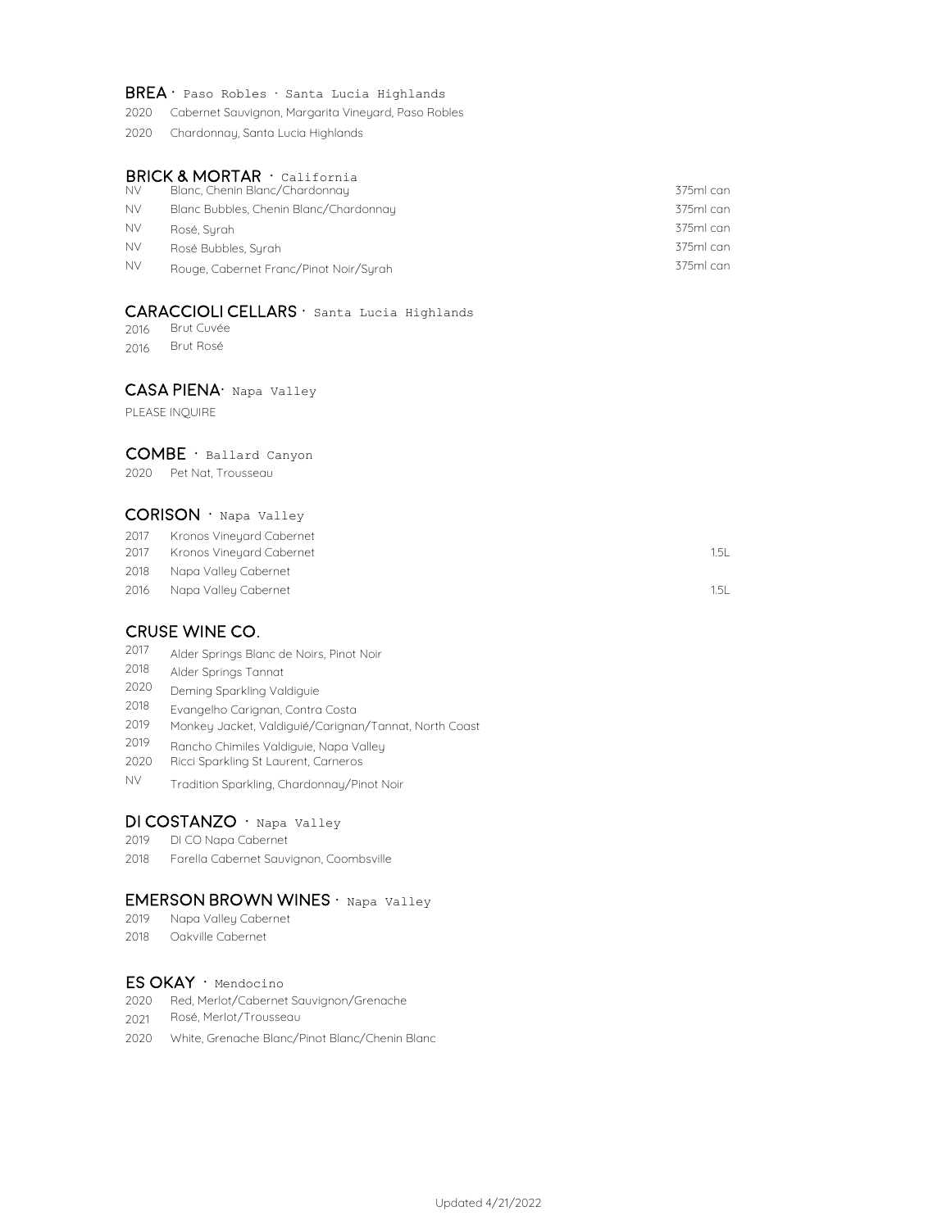#### $BREA \cdot$  Paso Robles  $\cdot$  Santa Lucia Highlands

- 2020 Cabernet Sauvignon, Margarita Vineyard, Paso Robles
- 2020 Chardonnay, Santa Lucia Highlands

#### **BRICK & MORTAR**  $\cdot$  california

| <b>NV</b> | Blanc, Chenin Blanc/Chardonnay         | 375ml can |
|-----------|----------------------------------------|-----------|
| <b>NV</b> | Blanc Bubbles, Chenin Blanc/Chardonnay | 375ml can |
| <b>NV</b> | Rosé, Surah                            | 375ml can |
| <b>NV</b> | Rosé Bubbles, Surah                    | 375ml can |
| <b>NV</b> | Rouge, Cabernet Franc/Pinot Noir/Surah | 375ml can |

#### CARACCIOLI CELLARS · Santa Lucia Highlands

2016 Brut Cuvée

2016 Brut Rosé

#### CASA PIENA· Napa Valley

PLEASE INQUIRE

#### COMBE · Ballard Canyon

2020 Pet Nat, Trousseau

#### $CORISON \cdot$  Napa Valley

- 2017 Kronos Vineyard Cabernet
- 2017 1.5L Kronos Vineyard Cabernet
- 2018 Napa Valley Cabernet
- 2016 1.5L Napa Valley Cabernet

## cruse wine co.

- 2017 Alder Springs Blanc de Noirs, Pinot Noir
- 2018 Alder Springs Tannat
- 2020 Deming Sparkling Valdiguie
- 2018 Evangelho Carignan, Contra Costa
- 2019 Monkey Jacket, Valdiguié/Carignan/Tannat, North Coast
- 2019 Rancho Chimiles Valdiguie, Napa Valley
- 2020 Ricci Sparkling St Laurent, Carneros
- NV Tradition Sparkling, Chardonnay/Pinot Noir

## DI COSTANZO · Napa Valley

- 2019 DI CO Napa Cabernet
- 2018 Farella Cabernet Sauvignon, Coombsville

### EMERSON BROWN WINES · Napa Valley

- 2019 Napa Valley Cabernet
- 2018 Oakville Cabernet

## ES OKAY · Mendocino

- 2020 Red, Merlot/Cabernet Sauvignon/Grenache
- 2021 Rosé, Merlot/Trousseau
- 2020 White, Grenache Blanc/Pinot Blanc/Chenin Blanc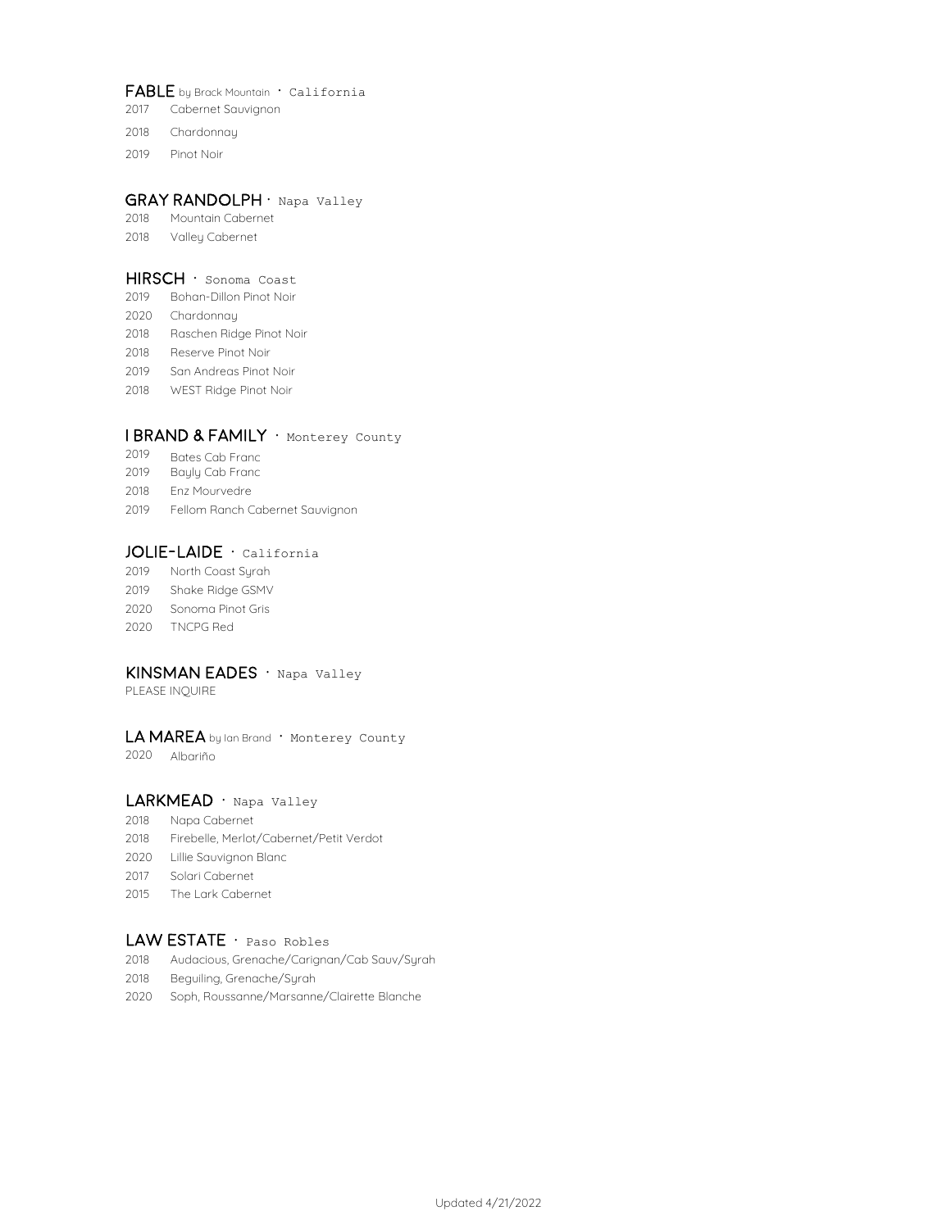#### FABLE by Brack Mountain · California

- Cabernet Sauvignon
- Chardonnay
- Pinot Noir

#### GRAY RANDOLPH · Napa Valley

- Mountain Cabernet
- Valley Cabernet

#### HIRSCH · Sonoma Coast

- Bohan-Dillon Pinot Noir
- Chardonnay
- Raschen Ridge Pinot Noir
- Reserve Pinot Noir
- San Andreas Pinot Noir
- WEST Ridge Pinot Noir

#### I BRAND & FAMILY · Monterey County

- Bates Cab Franc
- Bayly Cab Franc
- Enz Mourvedre
- Fellom Ranch Cabernet Sauvignon

#### JOLIE-LAIDE · California

 North Coast Syrah Shake Ridge GSMV Sonoma Pinot Gris TNCPG Red

## KINSMAN EADES · Napa Valley

PLEASE INQUIRE

#### LA MAREA by Ian Brand · Monterey County

Albariño

## LARKMEAD · Napa Valley

- Napa Cabernet
- Firebelle, Merlot/Cabernet/Petit Verdot
- Lillie Sauvignon Blanc
- Solari Cabernet
- The Lark Cabernet

### LAW ESTATE · Paso Robles

- Audacious, Grenache/Carignan/Cab Sauv/Syrah
- Beguiling, Grenache/Syrah
- Soph, Roussanne/Marsanne/Clairette Blanche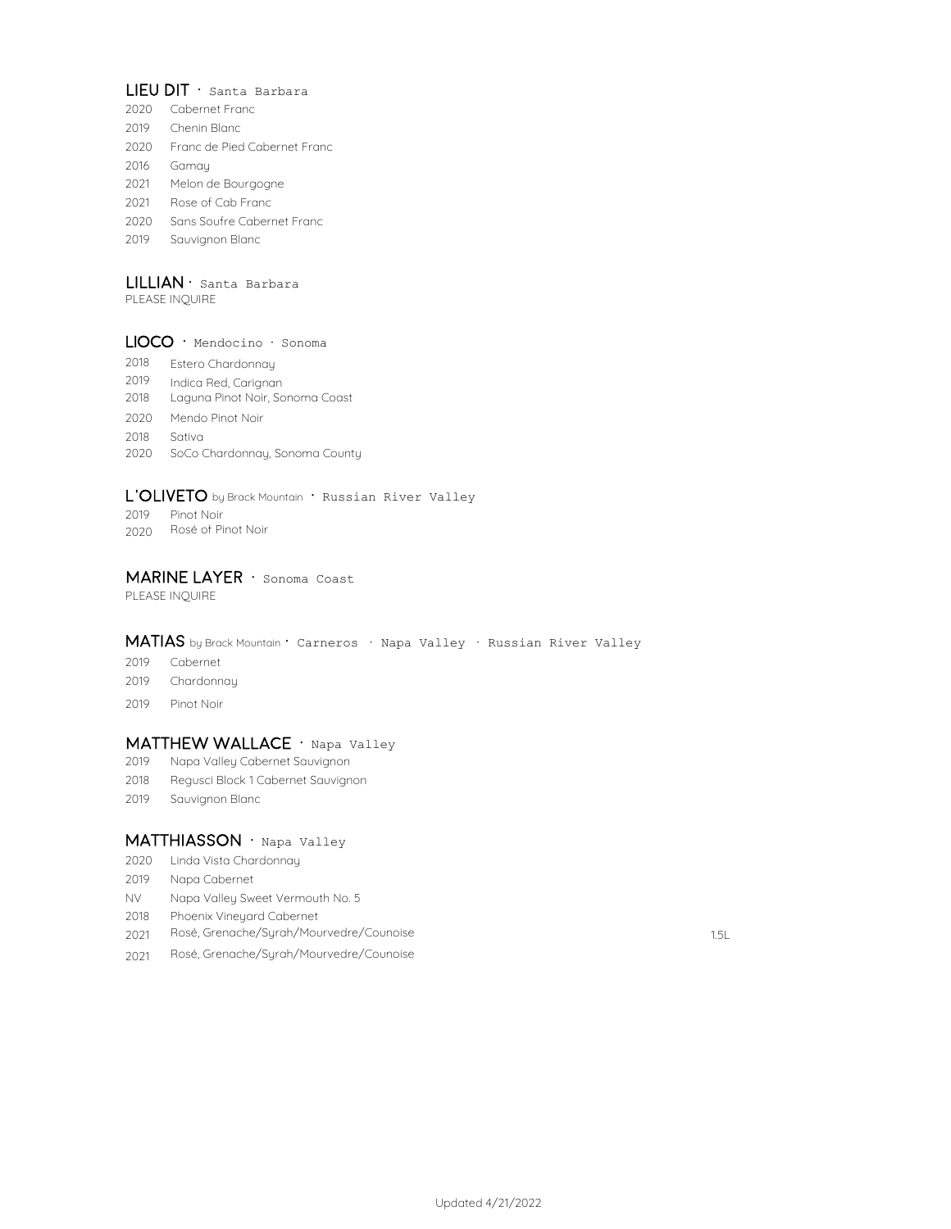### LIEU DIT · Santa Barbara

- 2020 Cabernet Franc
- 2019 Chenin Blanc
- 2020 Franc de Pied Cabernet Franc
- 2016 Gamay
- 2021 Melon de Bourgogne
- 2021 Rose of Cab Franc
- 2020 Sans Soufre Cabernet Franc
- 2019 Sauvignon Blanc

## $LILLIAN \cdot$  Santa Barbara

PLEASE INQUIRE

#### LIOCO · Mendocino · Sonoma

- 2018 Estero Chardonnay
- 2019 Indica Red, Carignan
- 2018 Laguna Pinot Noir, Sonoma Coast
- 2020 Mendo Pinot Noir
- 2018 Sativa
- 2020 SoCo Chardonnay, Sonoma County

#### L'OLIVETO by Brack Mountain · Russian River Valley

- 2019 Pinot Noir
- 2020 Rosé of Pinot Noir

#### MARINE LAYER · Sonoma Coast

PLEASE INQUIRE

## MATIAS by Brack Mountain · Carneros · Napa Valley · Russian River Valley

- 2019 Cabernet
- 2019 Chardonnay
- 2019 Pinot Noir

#### MATTHEW WALLACE · Napa Valley

- 2019 Napa Valley Cabernet Sauvignon
- 2018 Regusci Block 1 Cabernet Sauvignon
- 2019 Sauvignon Blanc

#### MATTHIASSON · Napa Valley

- 2020 Linda Vista Chardonnay
- 2019 Napa Cabernet
- NV Napa Valley Sweet Vermouth No. 5
- 2018 Phoenix Vineyard Cabernet
- 2021 1.5L Rosé, Grenache/Syrah/Mourvedre/Counoise
- 2021 Rosé, Grenache/Syrah/Mourvedre/Counoise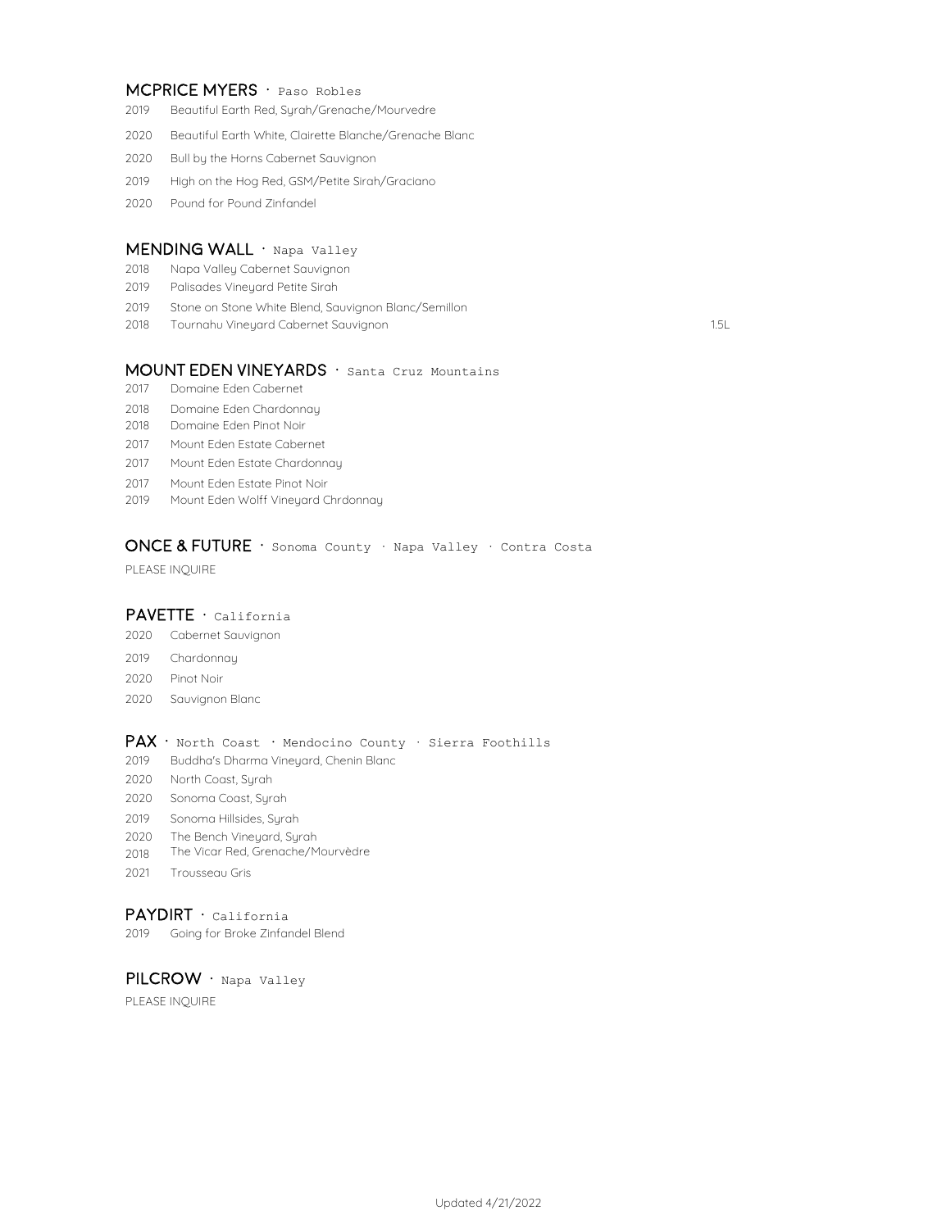#### MCPRICE MYERS · Paso Robles

- Beautiful Earth Red, Syrah/Grenache/Mourvedre
- Beautiful Earth White, Clairette Blanche/Grenache Blanc
- Bull by the Horns Cabernet Sauvignon
- High on the Hog Red, GSM/Petite Sirah/Graciano
- Pound for Pound Zinfandel

#### MENDING WALL · Napa Valley

- Napa Valley Cabernet Sauvignon
- Palisades Vineyard Petite Sirah
- Stone on Stone White Blend, Sauvignon Blanc/Semillon
- 1.5L Tournahu Vineyard Cabernet Sauvignon

#### MOUNT EDEN VINEYARDS · Santa Cruz Mountains

- Domaine Eden Cabernet
- Domaine Eden Chardonnay
- Domaine Eden Pinot Noir
- Mount Eden Estate Cabernet
- Mount Eden Estate Chardonnay
- Mount Eden Estate Pinot Noir
- Mount Eden Wolff Vineyard Chrdonnay

## ONCE & FUTURE · Sonoma County · Napa Valley · Contra Costa

PLEASE INQUIRE

## PAVETTE · California

- Cabernet Sauvignon
- Chardonnay
- Pinot Noir
- Sauvignon Blanc

### Pax · North Coast **·** Mendocino County · Sierra Foothills

- Buddha's Dharma Vineyard, Chenin Blanc
- North Coast, Syrah
- Sonoma Coast, Syrah
- Sonoma Hillsides, Syrah
- The Bench Vineyard, Syrah
- The Vicar Red, Grenache/Mourvèdre
- Trousseau Gris

#### PAYDIRT · California

Going for Broke Zinfandel Blend

PILCROW · Napa Valley

PLEASE INQUIRE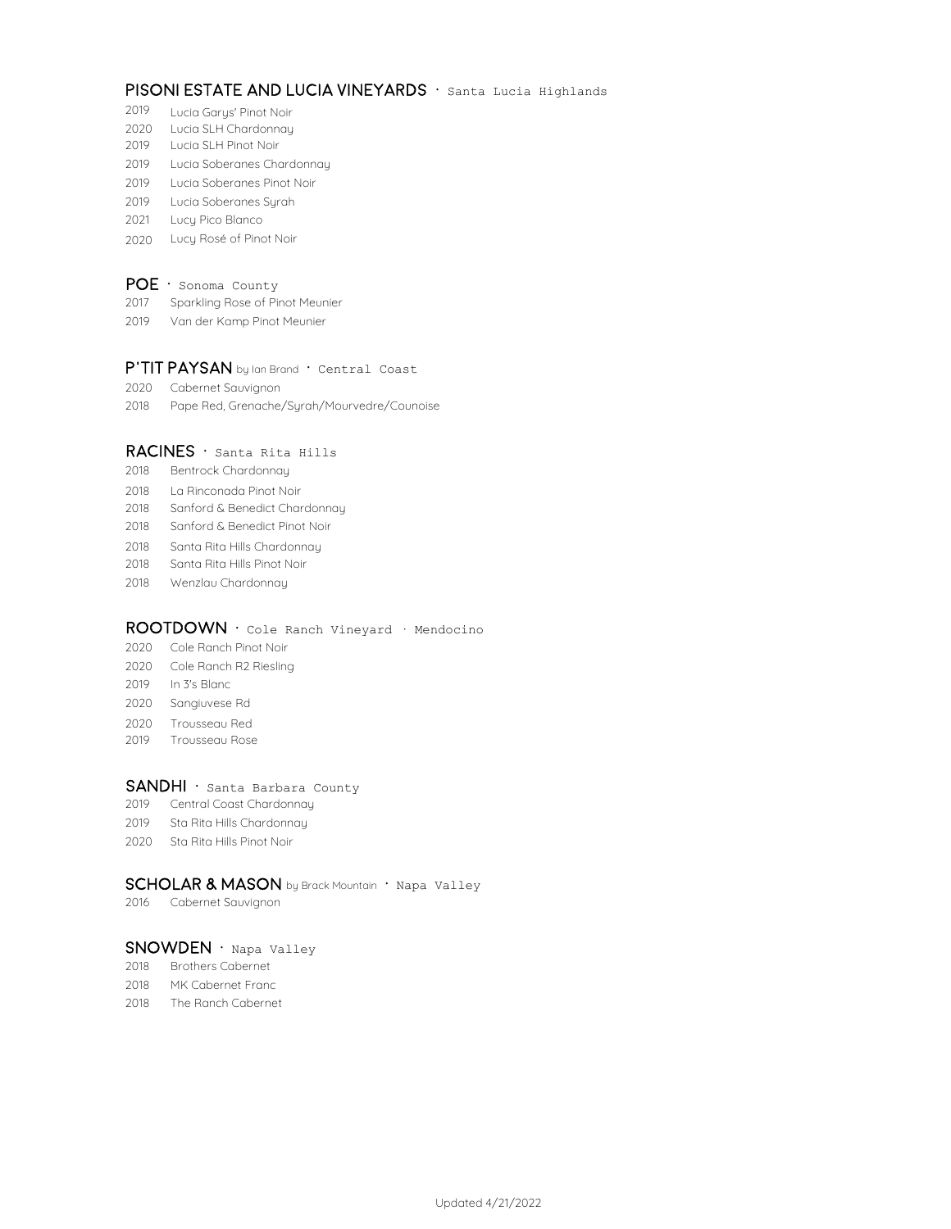## PISONI ESTATE AND LUCIA VINEYARDS · Santa Lucia Highlands

- Lucia Garys' Pinot Noir
- Lucia SLH Chardonnay
- Lucia SLH Pinot Noir
- Lucia Soberanes Chardonnay
- Lucia Soberanes Pinot Noir
- Lucia Soberanes Syrah
- Lucy Pico Blanco
- Lucy Rosé of Pinot Noir

## $POE \cdot$  Sonoma County

- Sparkling Rose of Pinot Meunier
- Van der Kamp Pinot Meunier

## P'TIT PAYSAN by Ian Brand · Central Coast

- Cabernet Sauvignon
- Pape Red, Grenache/Syrah/Mourvedre/Counoise

#### RACINES · Santa Rita Hills

- Bentrock Chardonnay
- La Rinconada Pinot Noir
- Sanford & Benedict Chardonnay
- Sanford & Benedict Pinot Noir
- Santa Rita Hills Chardonnay
- Santa Rita Hills Pinot Noir
- Wenzlau Chardonnay

#### ROOTDOWN · Cole Ranch Vineyard · Mendocino

- Cole Ranch Pinot Noir
- Cole Ranch R2 Riesling
- 2019 In 3's Blanc
- Sangiuvese Rd
- Trousseau Red
- Trousseau Rose

#### SANDHI · Santa Barbara County

- Central Coast Chardonnay
- Sta Rita Hills Chardonnay
- Sta Rita Hills Pinot Noir

#### SCHOLAR & MASON by Brack Mountain · Napa Valley

Cabernet Sauvignon

#### SNOWDEN · Napa Valley

- Brothers Cabernet
- MK Cabernet Franc
- The Ranch Cabernet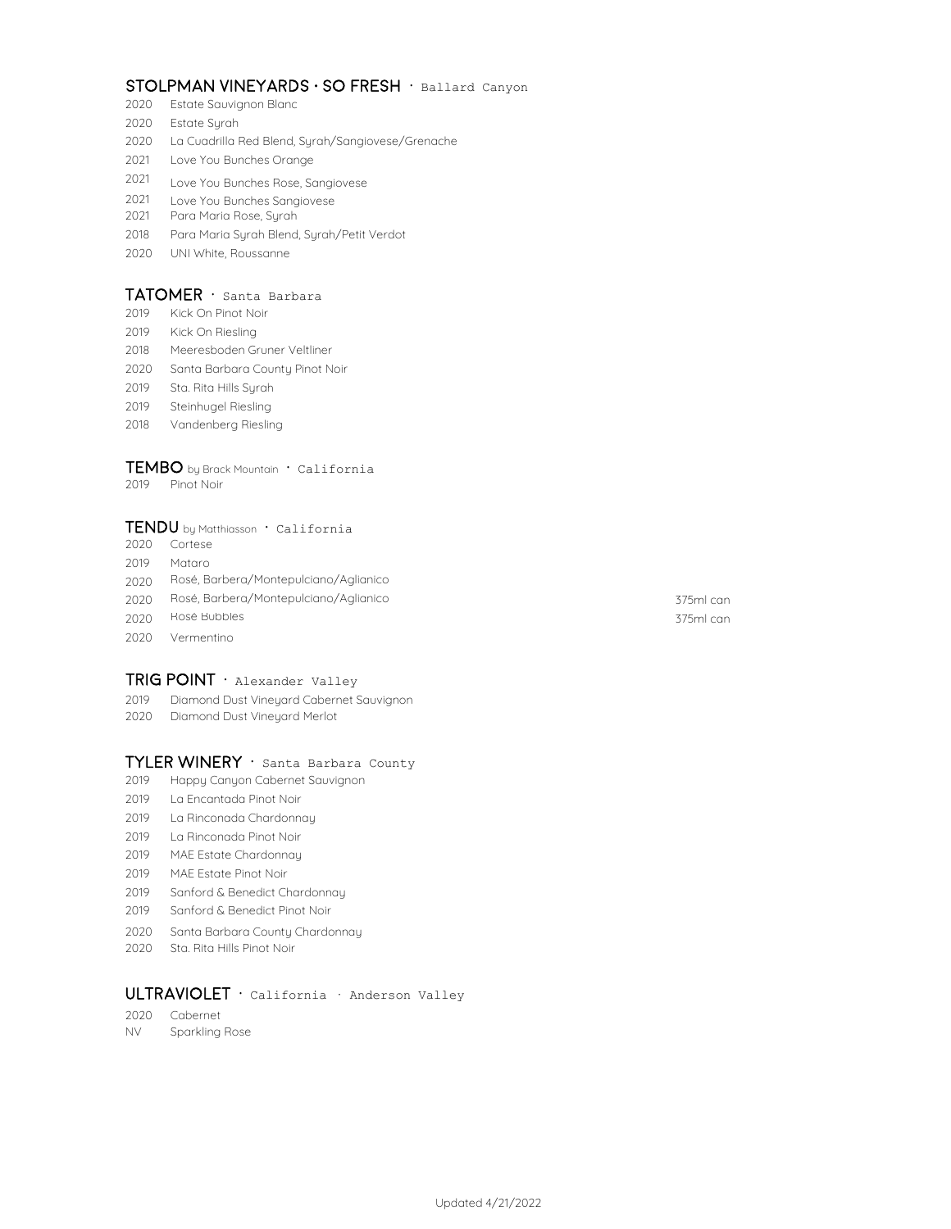## stolpman vineyards · so fresh · Ballard Canyon

- Estate Sauvignon Blanc
- Estate Syrah
- La Cuadrilla Red Blend, Syrah/Sangiovese/Grenache
- Love You Bunches Orange
- Love You Bunches Rose, Sangiovese
- Love You Bunches Sangiovese
- Para Maria Rose, Syrah
- Para Maria Syrah Blend, Syrah/Petit Verdot
- UNI White, Roussanne

#### TATOMER · Santa Barbara

- Kick On Pinot Noir
- Kick On Riesling
- Meeresboden Gruner Veltliner
- Santa Barbara County Pinot Noir
- Sta. Rita Hills Syrah
- Steinhugel Riesling
- Vandenberg Riesling

## $TEMBO$  by Brack Mountain  $\cdot$  California

Pinot Noir

#### TENDU by Matthiasson · California

- Cortese
- Mataro
- Rosé, Barbera/Montepulciano/Aglianico
- 375ml can Rosé, Barbera/Montepulciano/Aglianico
- Rosé Bubbles 375ml can
- Vermentino

#### $TRIG$  POINT  $\cdot$  Alexander Valley

- Diamond Dust Vineyard Cabernet Sauvignon
- Diamond Dust Vineyard Merlot

## TYLER WINERY · Santa Barbara County

- Happy Canyon Cabernet Sauvignon
- La Encantada Pinot Noir
- La Rinconada Chardonnay
- La Rinconada Pinot Noir
- MAE Estate Chardonnay
- MAE Estate Pinot Noir
- Sanford & Benedict Chardonnay
- Sanford & Benedict Pinot Noir
- Santa Barbara County Chardonnay
- Sta. Rita Hills Pinot Noir

## ULTRAVIOLET · California · Anderson Valley

- Cabernet
- NV Sparkling Rose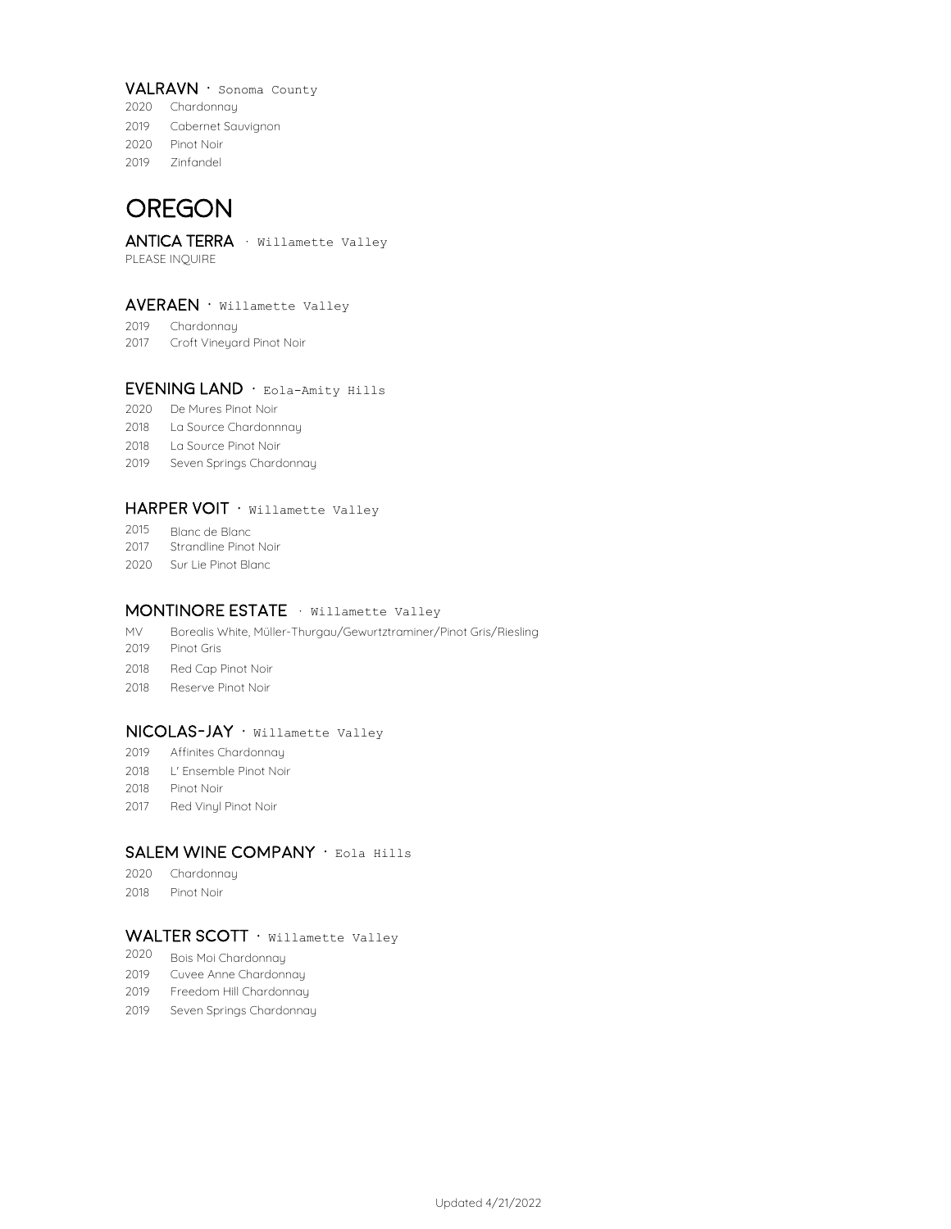#### VALRAVN · Sonoma County

- 2020 Chardonnay 2019 Cabernet Sauvignon 2020 Pinot Noir
- 2019 Zinfandel

## **OREGON**

## ANTICA TERRA · Willamette Valley

PLEASE INQUIRE

#### $AVERAEN \cdot$  Willamette Valley

- 2019 Chardonnay
- 2017 Croft Vineyard Pinot Noir

## EVENING LAND · Eola-Amity Hills

- 2020 De Mures Pinot Noir
- 2018 La Source Chardonnnay
- 2018 La Source Pinot Noir
- 2019 Seven Springs Chardonnay

#### HARPER VOIT · Willamette Valley

- 2015 Blanc de Blanc
- 2017 Strandline Pinot Noir
- 2020 Sur Lie Pinot Blanc

#### MONTINORE ESTATE · Willamette Valley

- MV Borealis White, Müller-Thurgau/Gewurtztraminer/Pinot Gris/Riesling
- 2019 Pinot Gris
- 2018 Red Cap Pinot Noir
- 2018 Reserve Pinot Noir

#### NICOLAS-JAY · Willamette Valley

- 2019 Affinites Chardonnay
- 2018 L' Ensemble Pinot Noir
- 2018 Pinot Noir
- 2017 Red Vinyl Pinot Noir

## SALEM WINE COMPANY · Eola Hills

- 2020 Chardonnay
- 2018 Pinot Noir

## WALTER SCOTT · Willamette Valley

- 2020 Bois Moi Chardonnay
- 2019 Cuvee Anne Chardonnay
- 2019 Freedom Hill Chardonnay
- 2019 Seven Springs Chardonnay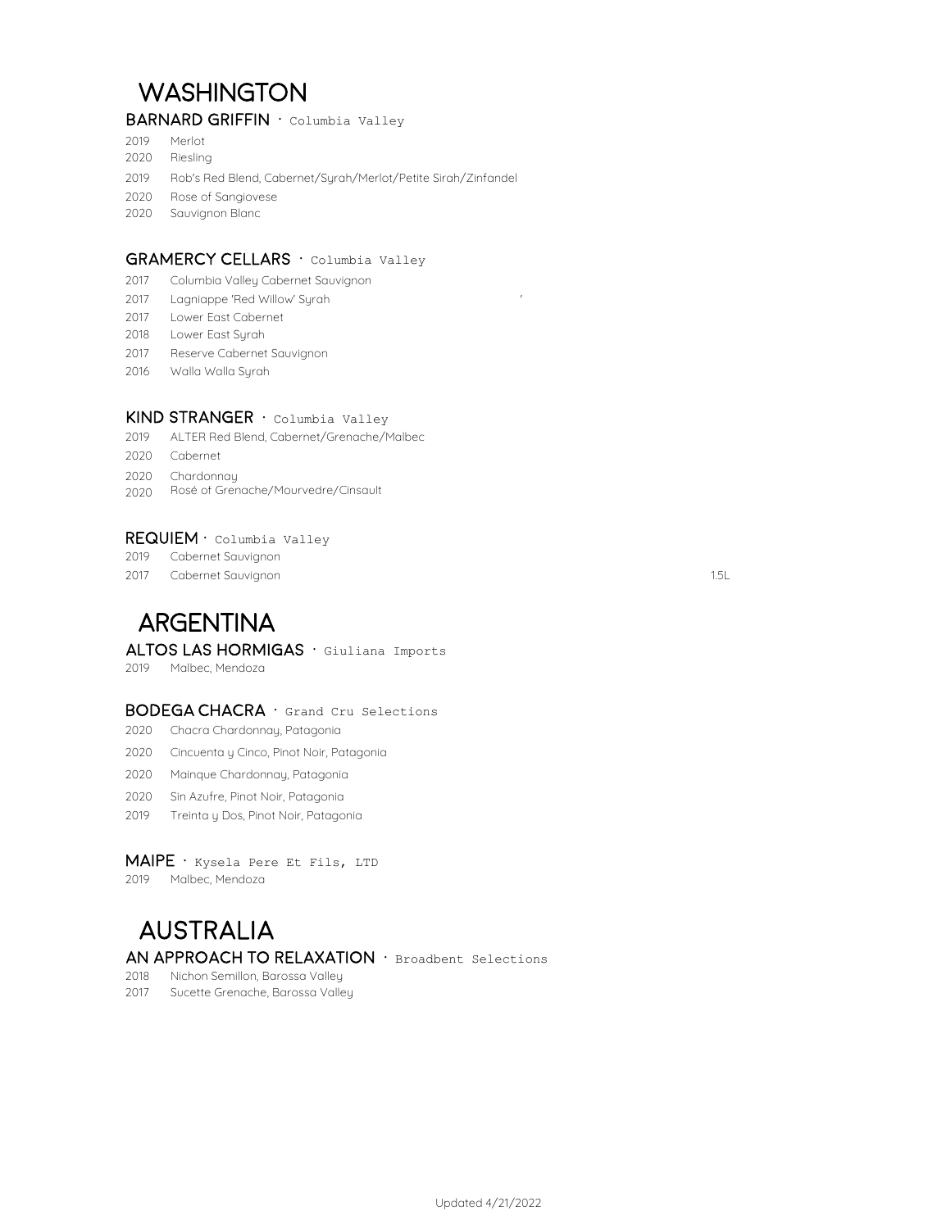# **WASHINGTON**

## BARNARD GRIFFIN · Columbia Valley

- Merlot
- Riesling

Rob's Red Blend, Cabernet/Syrah/Merlot/Petite Sirah/Zinfandel

- Rose of Sangiovese
- Sauvignon Blanc

#### GRAMERCY CELLARS · Columbia Valley

- Columbia Valley Cabernet Sauvignon
- Lagniappe 'Red Willow' Syrah '
- Lower East Cabernet
- Lower East Syrah
- Reserve Cabernet Sauvignon
- Walla Walla Syrah

#### KIND STRANGER · Columbia Valley

- ALTER Red Blend, Cabernet/Grenache/Malbec
- Cabernet
- Chardonnay
- Rosé of Grenache/Mourvedre/Cinsault

#### REQUIEM · Columbia Valley

- Cabernet Sauvignon
- Cabernet Sauvignon 1.5L

# **ARGENTINA**

### ALTOS LAS HORMIGAS · Giuliana Imports

Malbec, Mendoza

#### BODEGA CHACRA · Grand Cru Selections

- Chacra Chardonnay, Patagonia
- Cincuenta y Cinco, Pinot Noir, Patagonia
- Mainque Chardonnay, Patagonia
- Sin Azufre, Pinot Noir, Patagonia
- Treinta y Dos, Pinot Noir, Patagonia

#### $MAIPE \cdot$  Kysela Pere Et Fils, LTD

Malbec, Mendoza

## **AUSTRALIA** AN APPROACH TO RELAXATION · Broadbent Selections

Nichon Semillon, Barossa Valley

Sucette Grenache, Barossa Valley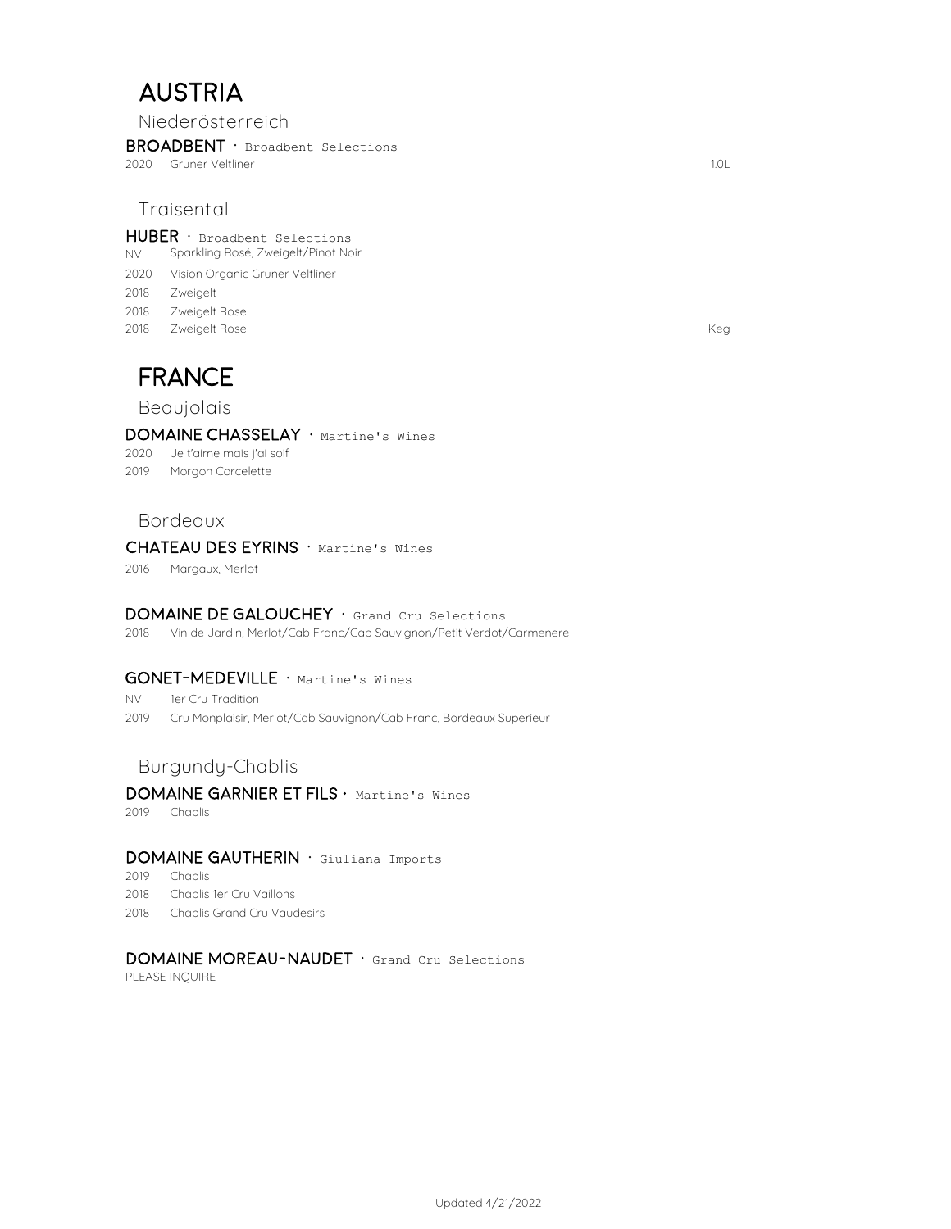# **AUSTRIA**

**Niederösterreich**

BROADBENT · Broadbent Selections

2020 1.0L Gruner Veltliner

## **Traisental**

 $HUBER \cdot$  Broadbent Selections

- NV Sparkling Rosé, Zweigelt/Pinot Noir
- 2020 Vision Organic Gruner Veltliner
- 2018 Zweigelt
- 2018 Zweigelt Rose
- 2018 Keg Zweigelt Rose

# FRANCE

## **Beaujolais**

#### DOMAINE CHASSELAY · Martine's Wines

2020 Je t'aime mais j'ai soif

2019 Morgon Corcelette

## **Bordeaux**

#### CHATEAU DES EYRINS · Martine's Wines

2016 Margaux, Merlot

#### DOMAINE DE GALOUCHEY · Grand Cru Selections

2018 Vin de Jardin, Merlot/Cab Franc/Cab Sauvignon/Petit Verdot/Carmenere

#### GONET-MEDEVILLE · Martine's Wines

NV 1er Cru Tradition

2019 Cru Monplaisir, Merlot/Cab Sauvignon/Cab Franc, Bordeaux Superieur

## **Burgundy-Chablis**

## DOMAINE GARNIER ET FILS · Martine's Wines

2019 Chablis

### DOMAINE GAUTHERIN · Giuliana Imports

2019 Chablis

- 2018 Chablis 1er Cru Vaillons
- 2018 Chablis Grand Cru Vaudesirs

## DOMAINE MOREAU-NAUDET · Grand Cru Selections

PLEASE INQUIRE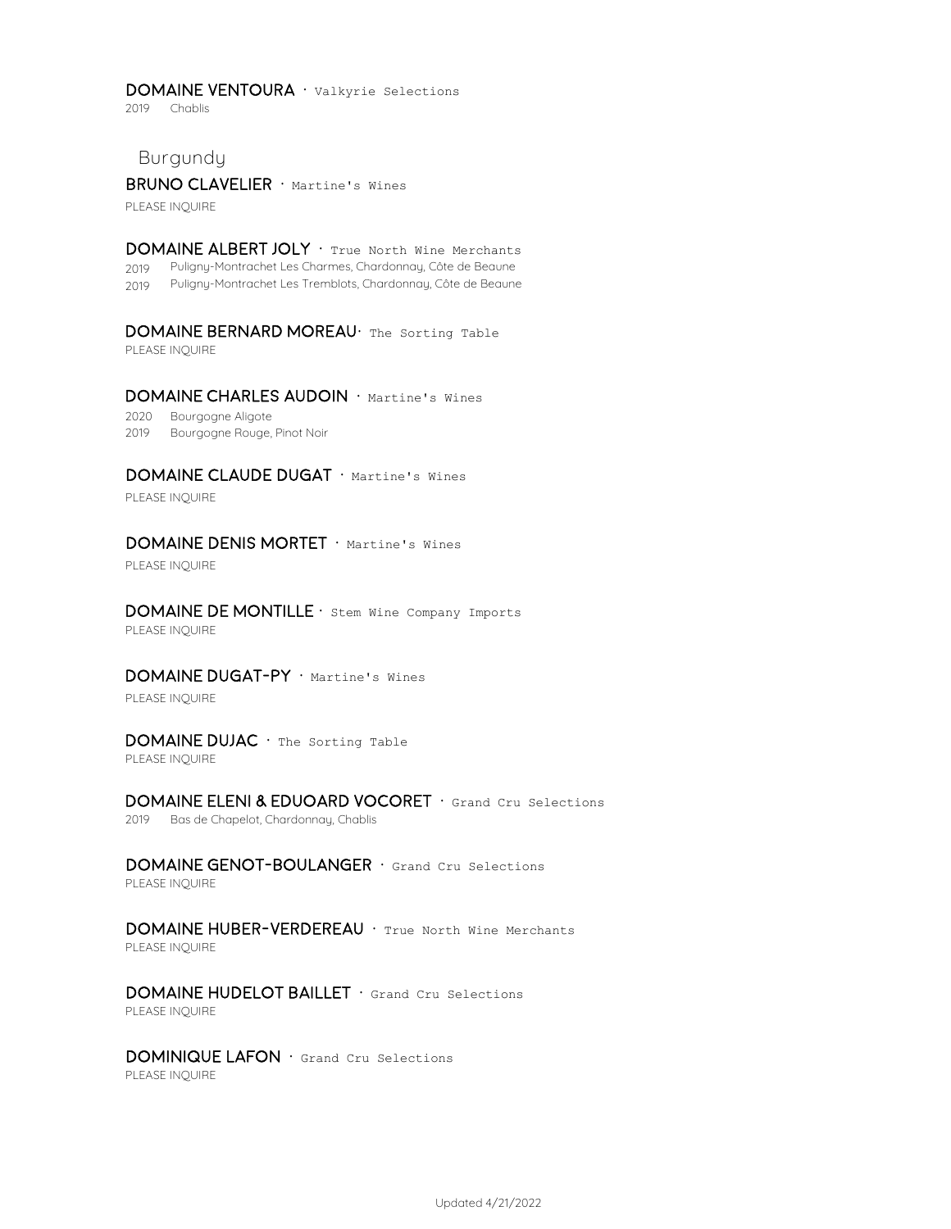#### DOMAINE VENTOURA · Valkyrie Selections

2019 Chablis

**Burgundy**

BRUNO CLAVELIER · Martine's Wines

PLEASE INQUIRE

DOMAINE ALBERT JOLY · True North Wine Merchants 2019 Puligny-Montrachet Les Charmes, Chardonnay, Côte de Beaune 2019 Puligny-Montrachet Les Tremblots, Chardonnay, Côte de Beaune

DOMAINE BERNARD MOREAU· The Sorting Table PLEASE INQUIRE

DOMAINE CHARLES AUDOIN · Martine's Wines

2020 Bourgogne Aligote 2019 Bourgogne Rouge, Pinot Noir

DOMAINE CLAUDE DUGAT · Martine's Wines

PLEASE INQUIRE

#### DOMAINE DENIS MORTET · Martine's Wines

PLEASE INQUIRE

DOMAINE DE MONTILLE · Stem Wine Company Imports PLEASE INQUIRE

DOMAINE DUGAT-PY · Martine's Wines

PLEASE INQUIRE

DOMAINE DUJAC · The Sorting Table PLEASE INQUIRE

DOMAINE ELENI & EDUOARD VOCORET · Grand Cru Selections 2019 Bas de Chapelot, Chardonnay, Chablis

DOMAINE GENOT-BOULANGER · Grand Cru Selections PLEASE INQUIRE

DOMAINE HUBER-VERDEREAU · True North Wine Merchants PLEASE INQUIRE

DOMAINE HUDELOT BAILLET · Grand Cru Selections PLEASE INQUIRE

DOMINIQUE LAFON · Grand Cru Selections PLEASE INQUIRE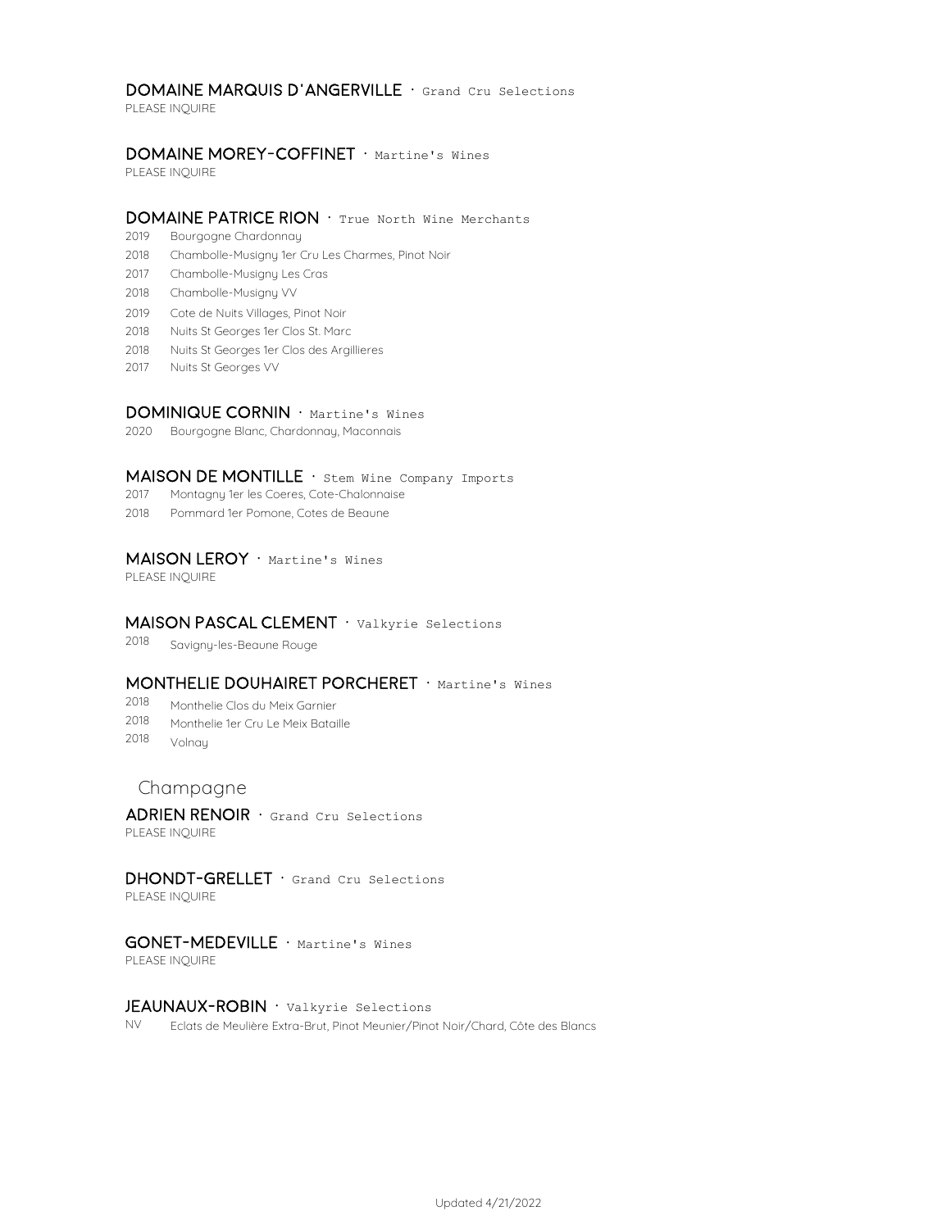#### DOMAINE MARQUIS D'ANGERVILLE · Grand Cru Selections

PLEASE INQUIRE

#### DOMAINE MOREY-COFFINET · Martine's Wines

PLEASE INQUIRE

#### DOMAINE PATRICE RION · True North Wine Merchants

- 2019 Bourgogne Chardonnay
- 2018 Chambolle-Musigny 1er Cru Les Charmes, Pinot Noir
- 2017 Chambolle-Musigny Les Cras
- 2018 Chambolle-Musigny VV
- 2019 Cote de Nuits Villages, Pinot Noir
- 2018 Nuits St Georges 1er Clos St. Marc
- 2018 Nuits St Georges 1er Clos des Argillieres
- 2017 Nuits St Georges VV

#### DOMINIQUE CORNIN · Martine's Wines

2020 Bourgogne Blanc, Chardonnay, Maconnais

#### MAISON DE MONTILLE  $\cdot$  stem Wine Company Imports

- 2017 Montagny 1er les Coeres, Cote-Chalonnaise
- 2018 Pommard 1er Pomone, Cotes de Beaune

#### MAISON LEROY · Martine's Wines

PLEASE INQUIRE

#### MAISON PASCAL CLEMENT · Valkyrie Selections

2018 Savigny-les-Beaune Rouge

## MONTHELIE DOUHAIRET PORCHERET · Martine's Wines

- 2018 Monthelie Clos du Meix Garnier
- 2018 Monthelie 1er Cru Le Meix Bataille
- 2018 Volnay

## **Champagne**

 $ADRIEN$  RENOIR  $\cdot$  Grand Cru Selections PLEASE INQUIRE

## DHONDT-GRELLET · Grand Cru Selections

PLEASE INQUIRE

## GONET-MEDEVILLE · Martine's Wines

PLEASE INQUIRE

#### JEAUNAUX-ROBIN · Valkyrie Selections

NV Eclats de Meulière Extra-Brut, Pinot Meunier/Pinot Noir/Chard, Côte des Blancs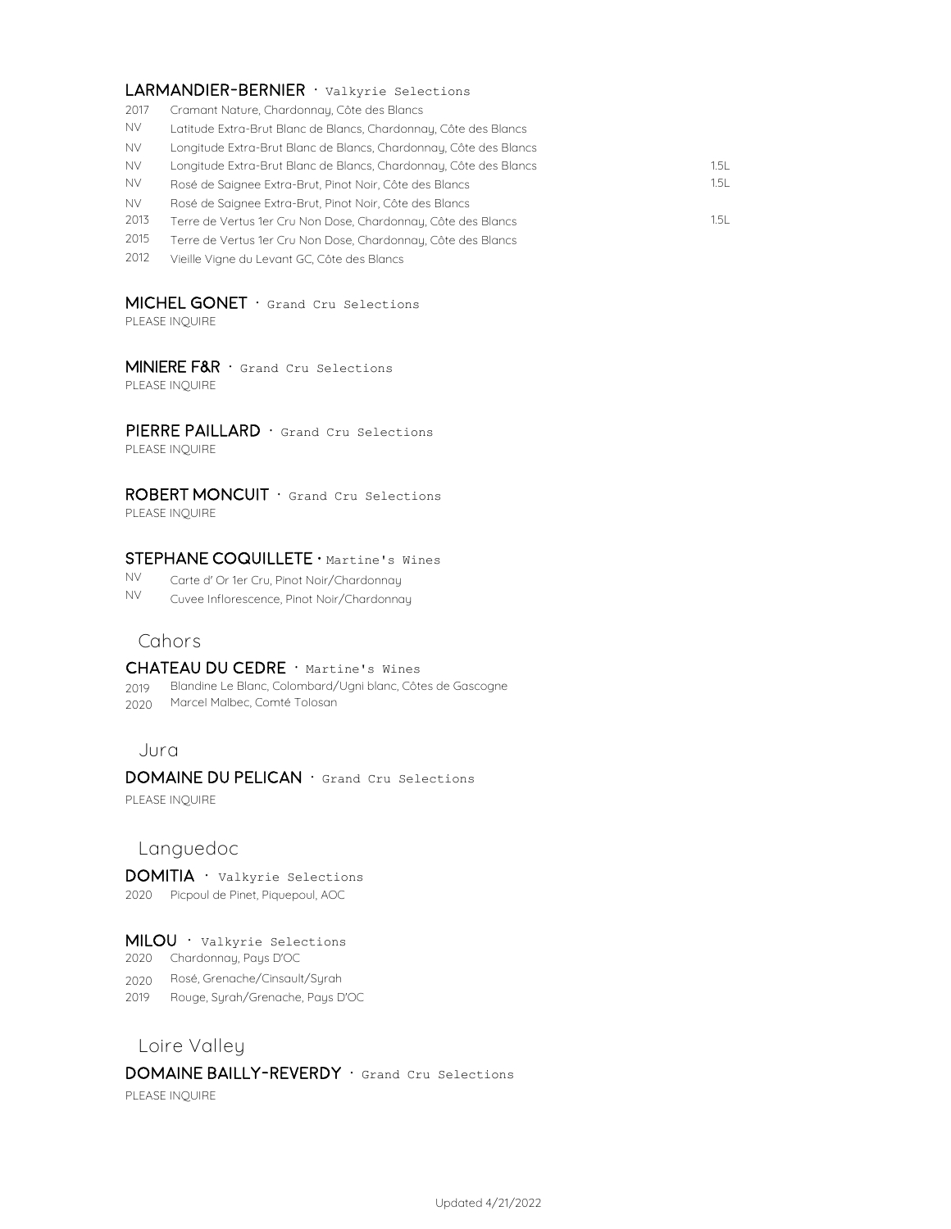#### LARMANDIER-BERNIER · Valkyrie Selections

- 2017 Cramant Nature, Chardonnay, Côte des Blancs
- NV Latitude Extra-Brut Blanc de Blancs, Chardonnay, Côte des Blancs
- NV Longitude Extra-Brut Blanc de Blancs, Chardonnay, Côte des Blancs
- NV Longitude Extra-Brut Blanc de Blancs, Chardonnay, Côte des Blancs 1.5L
- NV 1.5L Rosé de Saignee Extra-Brut, Pinot Noir, Côte des Blancs
- NV Rosé de Saignee Extra-Brut, Pinot Noir, Côte des Blancs
- 2013 1.5L Terre de Vertus 1er Cru Non Dose, Chardonnay, Côte des Blancs
- 2015 Terre de Vertus 1er Cru Non Dose, Chardonnay, Côte des Blancs
- 2012 Vieille Vigne du Levant GC, Côte des Blancs

## MICHEL GONET · Grand Cru Selections

PLEASE INQUIRE

#### MINIERE F&R · Grand Cru Selections PLEASE INQUIRE

**PIERRE PAILLARD**  $\cdot$  Grand Cru Selections PLEASE INQUIRE

#### ROBERT MONCUIT · Grand Cru Selections PLEASE INQUIRE

## STEPHANE COQUILLETE · Martine's Wines

NV Carte d' Or 1er Cru, Pinot Noir/Chardonnay

NV Cuvee Inflorescence, Pinot Noir/Chardonnay

## **Cahors**

#### CHATEAU DU CEDRE · Martine's Wines

- 2019 Blandine Le Blanc, Colombard/Ugni blanc, Côtes de Gascogne
- 2020 Marcel Malbec, Comté Tolosan

## **Jura**

#### DOMAINE DU PELICAN · Grand Cru Selections

PLEASE INQUIRE

## **Languedoc**

DOMITIA · Valkyrie Selections 2020 Picpoul de Pinet, Piquepoul, AOC

#### Milou · Valkyrie Selections

- 2020 Chardonnay, Pays D'OC
- 2020 Rosé, Grenache/Cinsault/Syrah
- 2019 Rouge, Syrah/Grenache, Pays D'OC

## **Loire Valley**

## DOMAINE BAILLY-REVERDY · Grand Cru Selections

PLEASE INQUIRE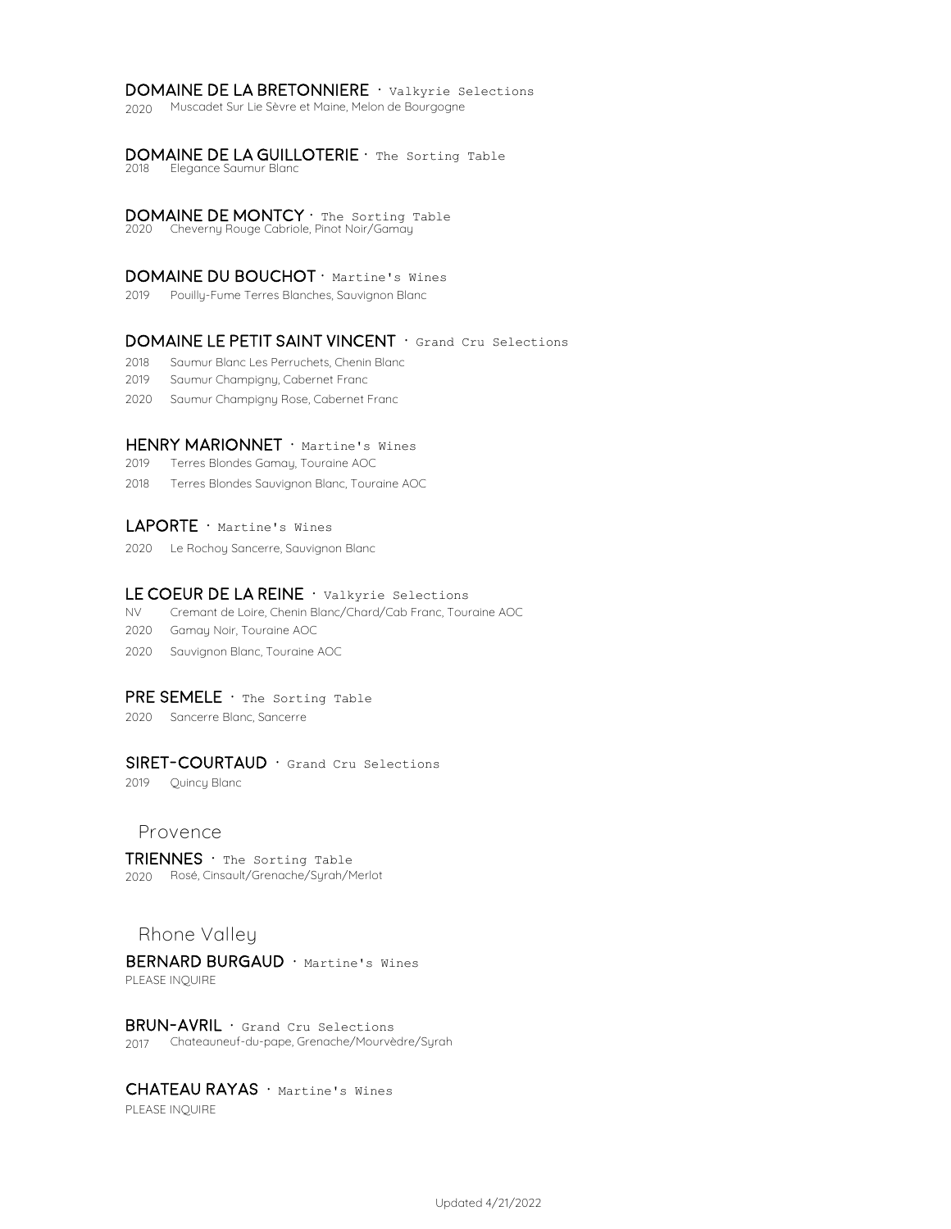#### DOMAINE DE LA BRETONNIERE · Valkyrie Selections

2020 Muscadet Sur Lie Sèvre et Maine, Melon de Bourgogne

#### DOMAINE DE LA GUILLOTERIE · The Sorting Table

2018 Elegance Saumur Blanc

#### DOMAINE DE MONTCY  $\cdot$  The Sorting Table

2020 Cheverny Rouge Cabriole, Pinot Noir/Gamay

#### DOMAINE DU BOUCHOT · Martine's Wines

2019 Pouilly-Fume Terres Blanches, Sauvignon Blanc

#### DOMAINE LE PETIT SAINT VINCENT · Grand Cru Selections

2018 Saumur Blanc Les Perruchets, Chenin Blanc

2019 Saumur Champigny, Cabernet Franc

2020 Saumur Champigny Rose, Cabernet Franc

#### HENRY MARIONNET · Martine's Wines

2019 Terres Blondes Gamay, Touraine AOC

2018 Terres Blondes Sauvignon Blanc, Touraine AOC

#### LAPORTE · Martine's Wines

2020 Le Rochoy Sancerre, Sauvignon Blanc

#### LE COEUR DE LA REINE  $\cdot$  Valkyrie Selections

NV Cremant de Loire, Chenin Blanc/Chard/Cab Franc, Touraine AOC

- 2020 Gamay Noir, Touraine AOC
- 2020 Sauvignon Blanc, Touraine AOC

## PRE SEMELE · The Sorting Table

2020 Sancerre Blanc, Sancerre

#### SIRET-COURTAUD · Grand Cru Selections

2019 Quincy Blanc

## **Provence**

 $TRIENNES \cdot$  The Sorting Table 2020 Rosé, Cinsault/Grenache/Syrah/Merlot

## **Rhone Valley**

BERNARD BURGAUD · Martine's Wines PLEASE INQUIRE

BRUN-AVRIL · Grand Cru Selections 2017 Chateauneuf-du-pape, Grenache/Mourvèdre/Syrah

## CHATEAU RAYAS · Martine's Wines

PLEASE INQUIRE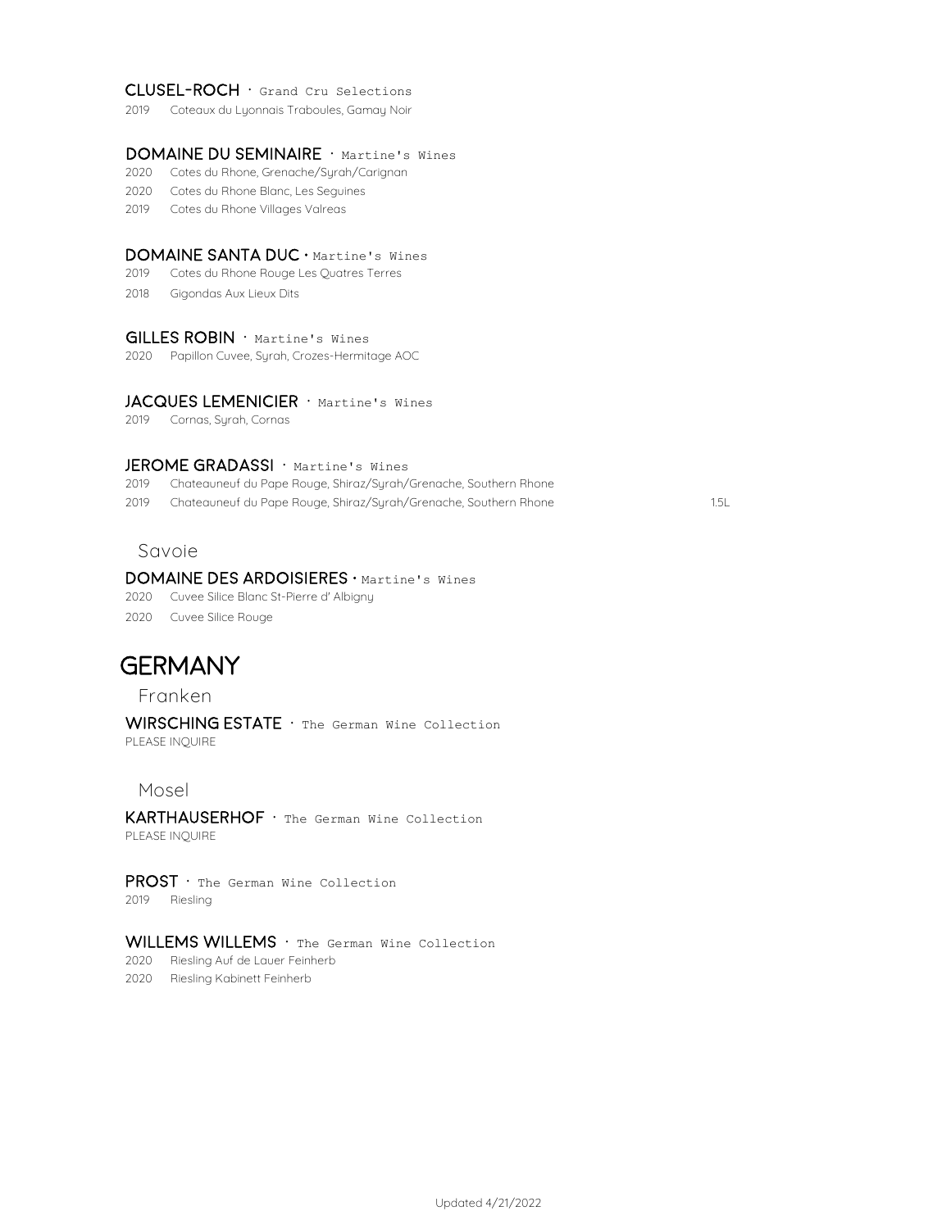### Clusel-Roch · Grand Cru Selections

2019 Coteaux du Lyonnais Traboules, Gamay Noir

## DOMAINE DU SEMINAIRE · Martine's Wines

- 2020 Cotes du Rhone, Grenache/Syrah/Carignan
- 2020 Cotes du Rhone Blanc, Les Seguines
- 2019 Cotes du Rhone Villages Valreas

#### DOMAINE SANTA DUC · Martine's Wines

- 2019 Cotes du Rhone Rouge Les Quatres Terres
- 2018 Gigondas Aux Lieux Dits

#### GILLES ROBIN · Martine's Wines

2020 Papillon Cuvee, Syrah, Crozes-Hermitage AOC

## JACQUES LEMENICIER · Martine's Wines

2019 Cornas, Syrah, Cornas

#### JEROME GRADASSI · Martine's Wines

2019 Chateauneuf du Pape Rouge, Shiraz/Syrah/Grenache, Southern Rhone

2019 1.5L Chateauneuf du Pape Rouge, Shiraz/Syrah/Grenache, Southern Rhone

## **Savoie**

#### DOMAINE DES ARDOISIERES · Martine's Wines

2020 Cuvee Silice Blanc St-Pierre d' Albigny

2020 Cuvee Silice Rouge

## **GERMANY**

**Franken**

WIRSCHING ESTATE · The German Wine Collection PLEASE INQUIRE

#### **Mosel**

KARTHAUSERHOF · The German Wine Collection PLEASE INQUIRE

**PROST**  $\cdot$  The German Wine Collection 2019 Riesling

#### WILLEMS WILLEMS · The German Wine Collection

2020 Riesling Auf de Lauer Feinherb

2020 Riesling Kabinett Feinherb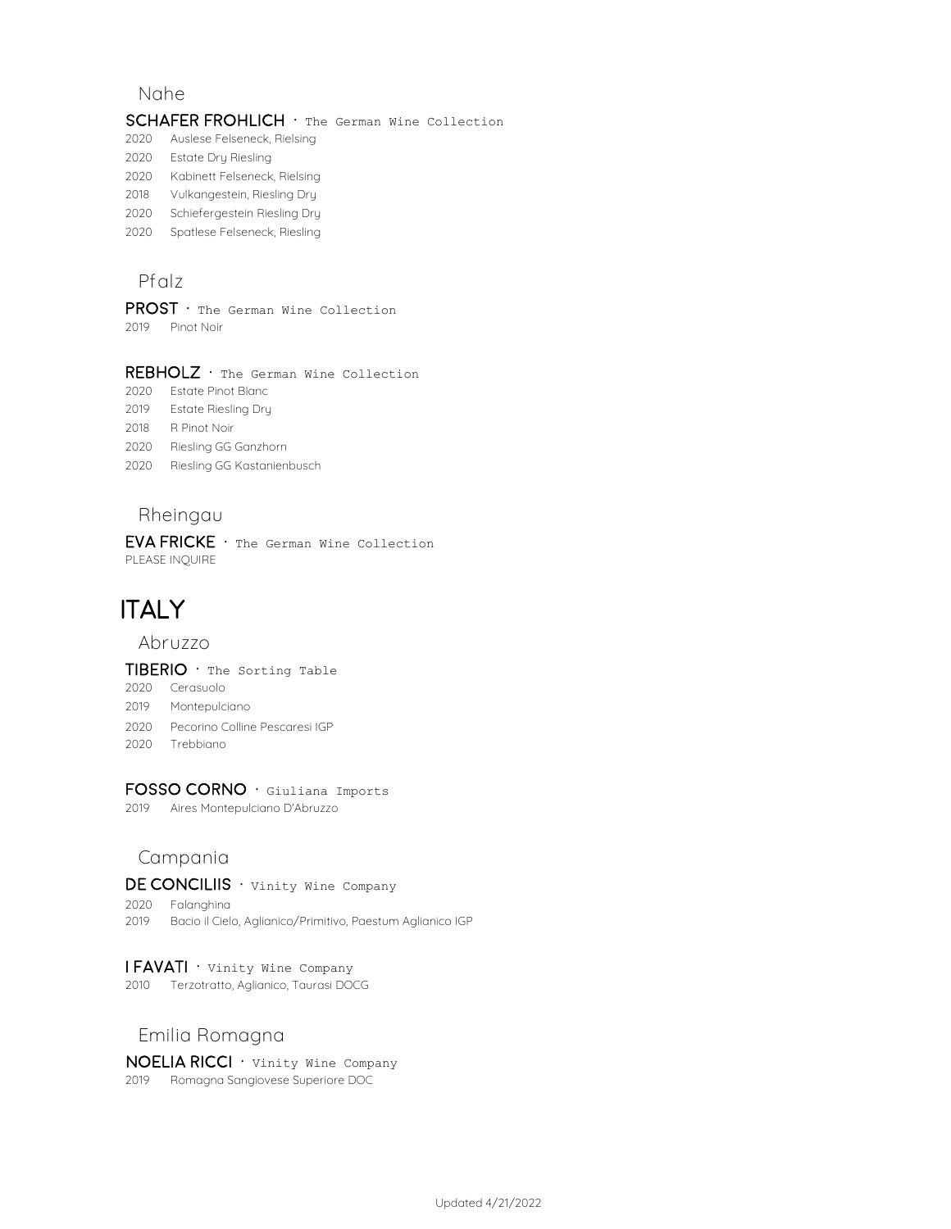## **Nahe**

#### SCHAFER FROHLICH · The German Wine Collection

- 2020 Auslese Felseneck, Rielsing
- 2020 Estate Dry Riesling
- 2020 Kabinett Felseneck, Rielsing
- 2018 Vulkangestein, Riesling Dry
- 2020 Schiefergestein Riesling Dry
- 2020 Spatlese Felseneck, Riesling

## **Pfalz**

 $PROST$   $\cdot$  The German Wine Collection

2019 Pinot Noir

#### REBHOLZ · The German Wine Collection

- 2020 Estate Pinot Blanc
- 2019 Estate Riesling Dry
- 2018 R Pinot Noir
- 2020 Riesling GG Ganzhorn
- 2020 Riesling GG Kastanienbusch

## **Rheingau**

**EVA FRICKE**  $\cdot$  The German Wine Collection PLEASE INQUIRE

# **ITALY**

**Abruzzo**

#### $TIBERIO \cdot$  The Sorting Table

- 2020 Cerasuolo 2019 Montepulciano
- 2020 Pecorino Colline Pescaresi IGP
- 2020 Trebbiano

## FOSSO CORNO · Giuliana Imports

2019 Aires Montepulciano D'Abruzzo

## **Campania**

## DE CONCILIIS · Vinity Wine Company

2020 Falanghina 2019 Bacio il Cielo, Aglianico/Primitivo, Paestum Aglianico IGP

#### $IFAVATI ·$  Vinity Wine Company

2010 Terzotratto, Aglianico, Taurasi DOCG

## **Emilia Romagna**

 $NOELIA RICCI ·$  Vinity Wine Company 2019 Romagna Sangiovese Superiore DOC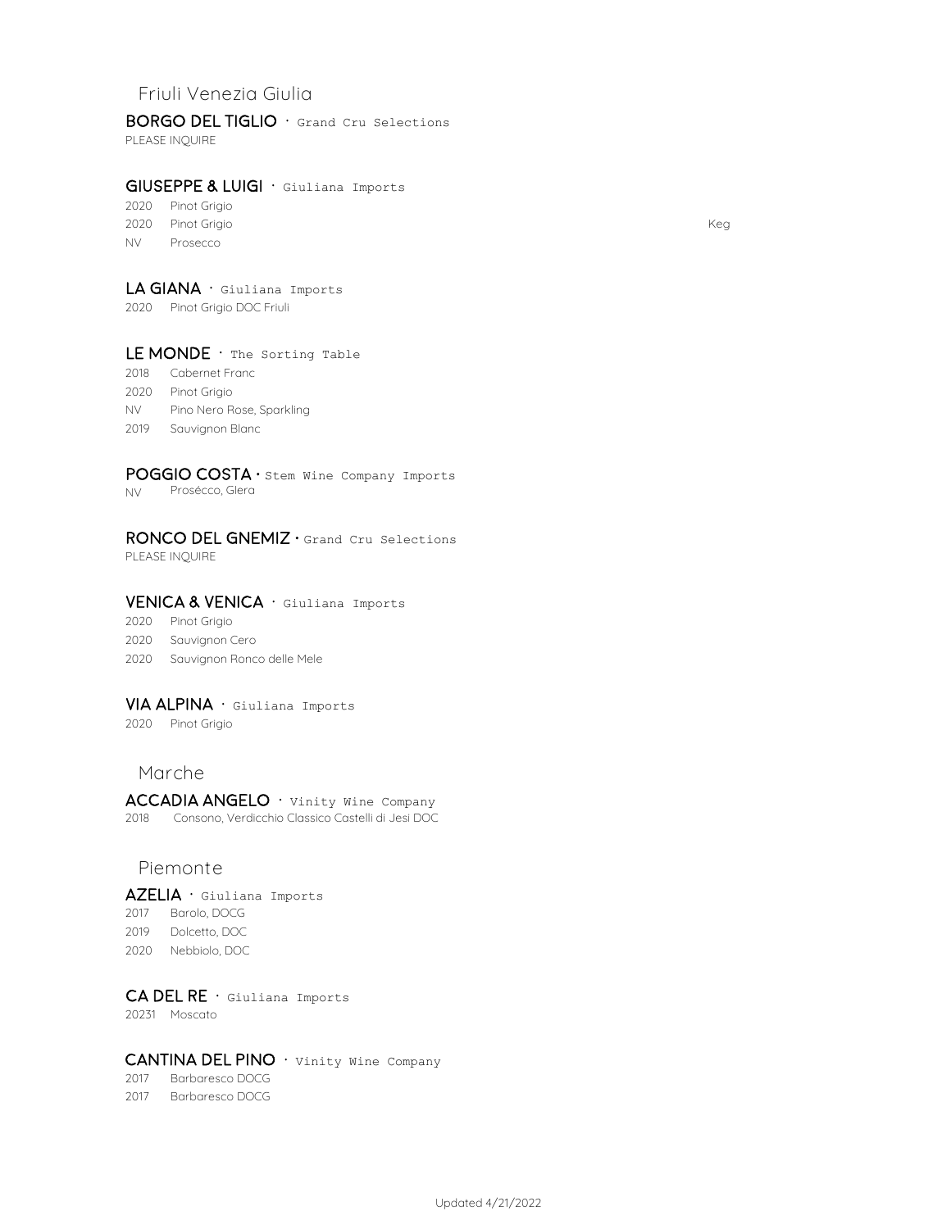## **Friuli Venezia Giulia**

BORGO DEL TIGLIO · Grand Cru Selections

PLEASE INQUIRE

## GIUSEPPE & LUIGI · Giuliana Imports

2020 Pinot Grigio 2020 Pinot Grigio Keg NV Prosecco

## LA GIANA · Giuliana Imports

2020 Pinot Grigio DOC Friuli

#### LE MONDE  $\cdot$  The Sorting Table

- 2018 Cabernet Franc
- 2020 Pinot Grigio
- NV Pino Nero Rose, Sparkling
- 2019 Sauvignon Blanc

## POGGIO COSTA · Stem Wine Company Imports

NV Prosécco, Glera

## RONCO DEL GNEMIZ · Grand Cru Selections

PLEASE INQUIRE

#### VENICA & VENICA · Giuliana Imports

- 2020 Pinot Grigio
- 2020 Sauvignon Cero
- 2020 Sauvignon Ronco delle Mele

## VIA ALPINA · Giuliana Imports

2020 Pinot Grigio

## **Marche**

ACCADIA ANGELO · Vinity Wine Company 2018 Consono, Verdicchio Classico Castelli di Jesi DOC

#### **Piemonte**

AZELIA · Giuliana Imports Barolo, DOCG Dolcetto, DOC Nebbiolo, DOC

 $CA$  DEL RE  $\cdot$  Giuliana Imports 20231 Moscato

## CANTINA DEL PINO · Vinity Wine Company

2017 Barbaresco DOCG 2017 Barbaresco DOCG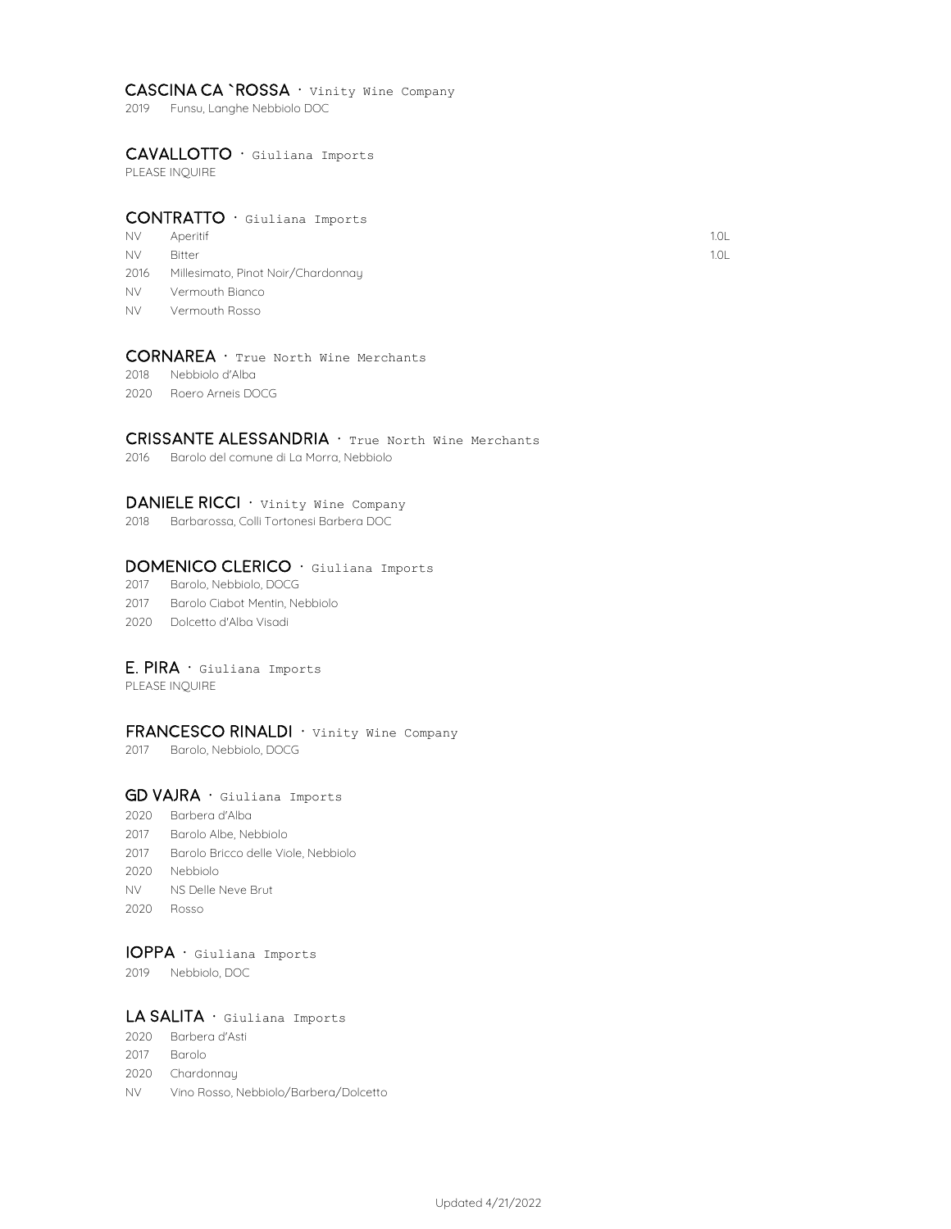#### CASCINA CA `ROSSA · Vinity Wine Company

2019 Funsu, Langhe Nebbiolo DOC

#### cavallotto · Giuliana Imports

PLEASE INQUIRE

#### CONTRATTO · Giuliana Imports

- NV Aperitif the contract of the contract of the contract of the contract of the contract of the contract of the contract of the contract of the contract of the contract of the contract of the contract of the contract of th Aperitif
- NV Bitter the control of the control of the control of the control of the control of the control of the control of the control of the control of the control of the control of the control of the control of the control of th
- 2016 Millesimato, Pinot Noir/Chardonnay
- NV Vermouth Bianco
- NV Vermouth Rosso

## CORNAREA · True North Wine Merchants

- 2018 Nebbiolo d'Alba
- 2020 Roero Arneis DOCG

## CRISSANTE ALESSANDRIA · True North Wine Merchants

2016 Barolo del comune di La Morra, Nebbiolo

#### DANIELE RICCI · Vinity Wine Company

2018 Barbarossa, Colli Tortonesi Barbera DOC

#### DOMENICO CLERICO · Giuliana Imports

- 2017 Barolo, Nebbiolo, DOCG
- 2017 Barolo Ciabot Mentin, Nebbiolo
- 2020 Dolcetto d'Alba Visadi

#### $E.$  PIRA  $\cdot$  Giuliana Imports

PLEASE INQUIRE

#### FRANCESCO RINALDI · Vinity Wine Company

2017 Barolo, Nebbiolo, DOCG

#### GD VAJRA · Giuliana Imports

- 2020 Barbera d'Alba
- 2017 Barolo Albe, Nebbiolo
- 2017 Barolo Bricco delle Viole, Nebbiolo
- 2020 Nebbiolo
- NV NS Delle Neve Brut
- 2020 Rosso

## ioppa · Giuliana Imports

2019 Nebbiolo, DOC

#### LA SALITA · Giuliana Imports

- 2020 Barbera d'Asti
- 2017 Barolo
- 2020 Chardonnay
- NV Vino Rosso, Nebbiolo/Barbera/Dolcetto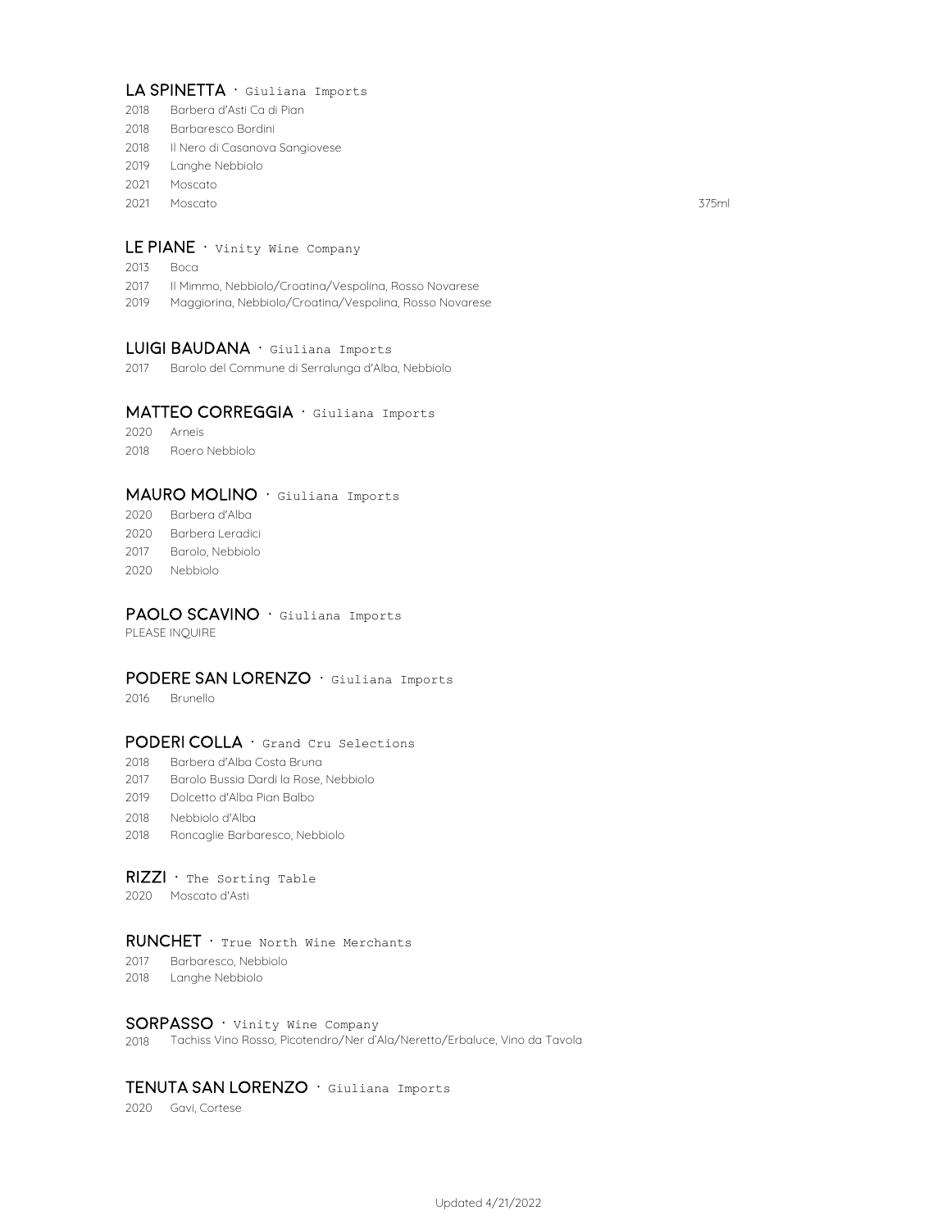## LA SPINETTA · Giuliana Imports

- 2018 Barbera d'Asti Ca di Pian
- 2018 Barbaresco Bordini
- 2018 Il Nero di Casanova Sangiovese
- 2019 Langhe Nebbiolo
- 2021 Moscato
- 2021 375ml Moscato

## LE PIANE · Vinity Wine Company

- 2013 Boca
- 2017 Il Mimmo, Nebbiolo/Croatina/Vespolina, Rosso Novarese
- 2019 Maggiorina, Nebbiolo/Croatina/Vespolina, Rosso Novarese

#### LUIGI BAUDANA · Giuliana Imports

2017 Barolo del Commune di Serralunga d'Alba, Nebbiolo

#### MATTEO CORREGGIA · Giuliana Imports

2020 Arneis 2018 Roero Nebbiolo

### MAURO MOLINO · Giuliana Imports

- 2020 Barbera d'Alba 2020 Barbera Leradici 2017 Barolo, Nebbiolo
- 2020 Nebbiolo

#### PAOLO SCAVINO · Giuliana Imports

PLEASE INQUIRE

#### PODERE SAN LORENZO · Giuliana Imports

2016 Brunello

#### PODERI COLLA · Grand Cru Selections

- 2018 Barbera d'Alba Costa Bruna
- 2017 Barolo Bussia Dardi la Rose, Nebbiolo
- 2019 Dolcetto d'Alba Pian Balbo
- 2018 Nebbiolo d'Alba
- 2018 Roncaglie Barbaresco, Nebbiolo

#### $RIZZI$  · The Sorting Table

2020 Moscato d'Asti

#### $RUNCHET \cdot True$  North Wine Merchants

- 2017 Barbaresco, Nebbiolo
- 2018 Langhe Nebbiolo

#### SORPASSO · Vinity Wine Company

2018 Tachiss Vino Rosso, Picotendro/Ner d'Ala/Neretto/Erbaluce, Vino da Tavola

## TENUTA SAN LORENZO · Giuliana Imports

2020 Gavi, Cortese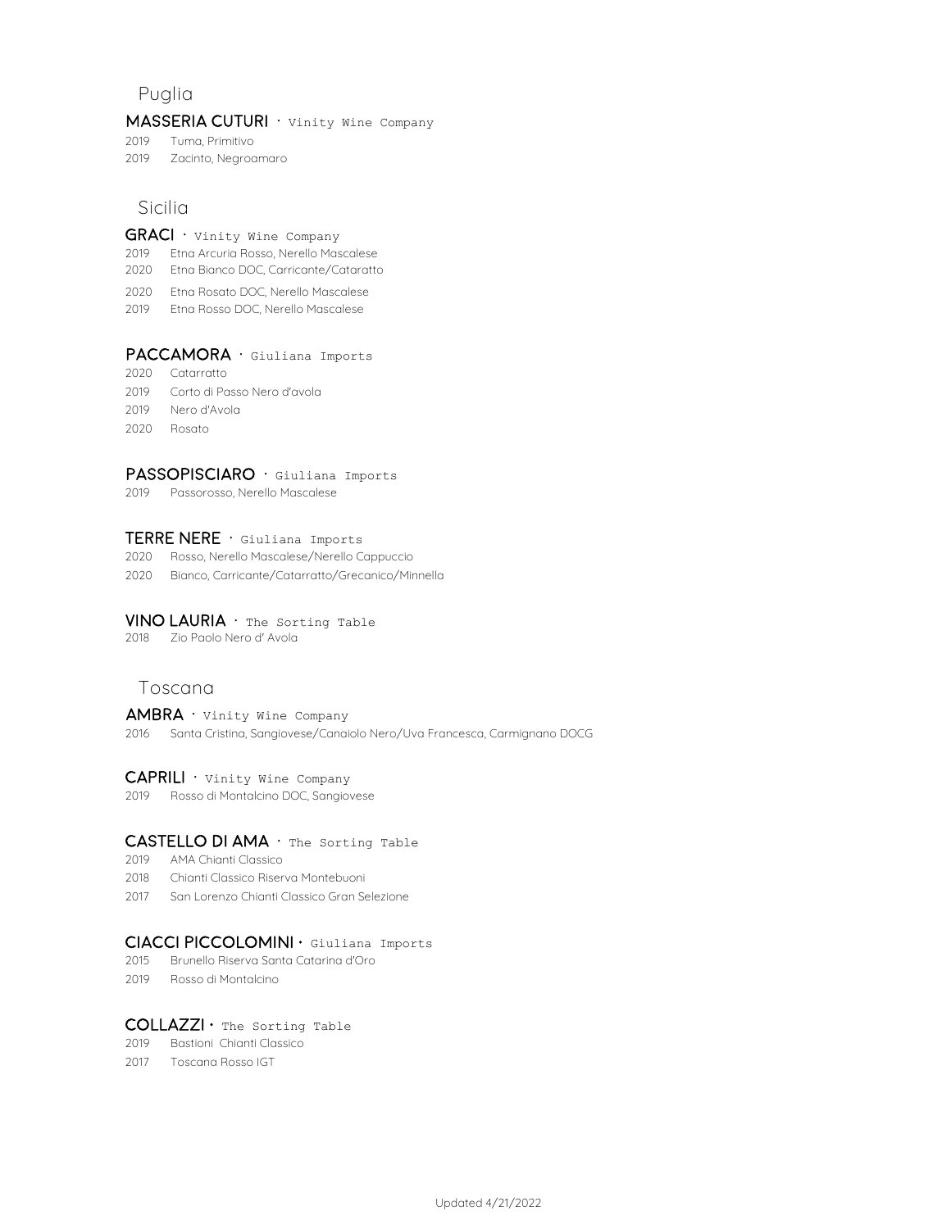## **Puglia**

#### MASSERIA CUTURI · Vinity Wine Company

2019 Tuma, Primitivo

2019 Zacinto, Negroamaro

## **Sicilia**

#### $GRACI \cdot$  Vinity Wine Company

- 2019 Etna Arcuria Rosso, Nerello Mascalese
- **Toscana** <sup>2020</sup> Etna Bianco DOC, Carricante/Cataratto
- 2020 Etna Rosato DOC, Nerello Mascalese
- 2019 Etna Rosso DOC, Nerello Mascalese

#### PACCAMORA · Giuliana Imports

- 2020 Catarratto
- 2019 Corto di Passo Nero d'avola
- 2019 Nero d'Avola
- 2020 Rosato

#### PASSOPISCIARO · Giuliana Imports

2019 Passorosso, Nerello Mascalese

#### TERRE NERE · Giuliana Imports

- 2020 Rosso, Nerello Mascalese/Nerello Cappuccio
- 2020 Bianco, Carricante/Catarratto/Grecanico/Minnella

#### VINO LAURIA · The Sorting Table

2018 Zio Paolo Nero d' Avola

## **Toscana**

## $AMBRA$  · Vinity Wine Company

2016 Santa Cristina, Sangiovese/Canaiolo Nero/Uva Francesca, Carmignano DOCG

#### CAPRILI · Vinity Wine Company

2019 Rosso di Montalcino DOC, Sangiovese

## CASTELLO DI AMA · The Sorting Table

- 2019 AMA Chianti Classico
- 2018 Chianti Classico Riserva Montebuoni
- 2017 San Lorenzo Chianti Classico Gran Selezione

#### Ciacci piccolomini · Giuliana Imports

- 2015 Brunello Riserva Santa Catarina d'Oro
- 2019 Rosso di Montalcino

#### COLLAZZI · The Sorting Table

#### 2019 Bastioni Chianti Classico

2017 Toscana Rosso IGT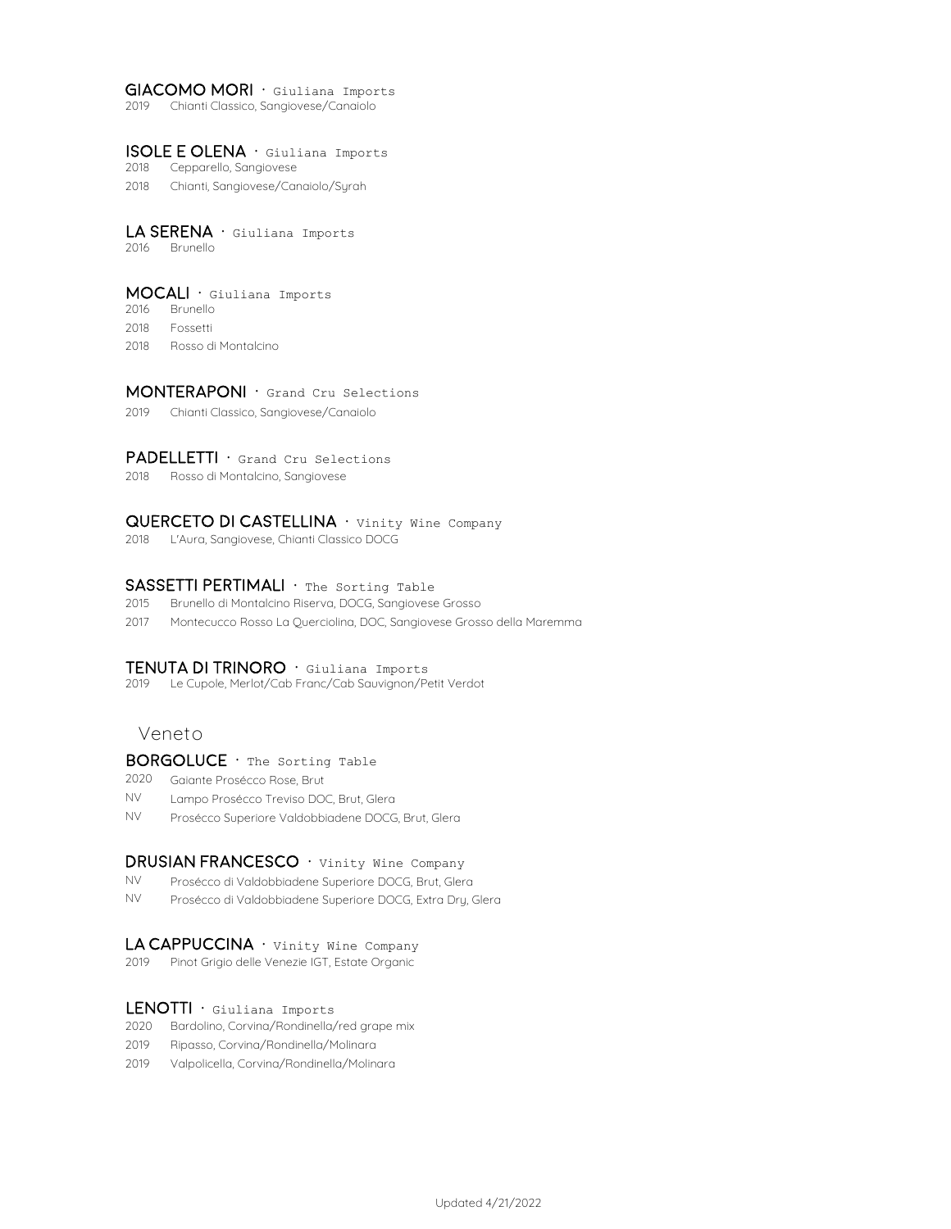#### GIACOMO MORI · Giuliana Imports

2019 Chianti Classico, Sangiovese/Canaiolo

#### isole e olena · Giuliana Imports

- 2018 Cepparello, Sangiovese
- 2018 Chianti, Sangiovese/Canaiolo/Syrah

#### LA SERENA · Giuliana Imports

2016 Brunello

## mocali · Giuliana Imports

- 2016 Brunello
- 2018 Fossetti
- 2018 Rosso di Montalcino

#### MONTERAPONI · Grand Cru Selections

2019 Chianti Classico, Sangiovese/Canaiolo

#### **PADELLETTI**  $\cdot$  Grand Cru Selections

2018 Rosso di Montalcino, Sangiovese

#### QUERCETO DI CASTELLINA · Vinity Wine Company

2018 L'Aura, Sangiovese, Chianti Classico DOCG

#### SASSETTI PERTIMALI · The Sorting Table

- 2015 Brunello di Montalcino Riserva, DOCG, Sangiovese Grosso
- 2017 Montecucco Rosso La Querciolina, DOC, Sangiovese Grosso della Maremma

#### TENUTA DI TRINORO · Giuliana Imports

2019 Le Cupole, Merlot/Cab Franc/Cab Sauvignon/Petit Verdot

## **Veneto**

#### BORGOLUCE · The Sorting Table

- 2020 Gaiante Prosécco Rose, Brut
- NV Lampo Prosécco Treviso DOC, Brut, Glera
- NV Prosécco Superiore Valdobbiadene DOCG, Brut, Glera

#### DRUSIAN FRANCESCO · Vinity Wine Company

- NV Prosécco di Valdobbiadene Superiore DOCG, Brut, Glera
- NV Prosécco di Valdobbiadene Superiore DOCG, Extra Dry, Glera

#### LA CAPPUCCINA · Vinity Wine Company

2019 Pinot Grigio delle Venezie IGT, Estate Organic

#### LENOTTI · Giuliana Imports

- 2020 Bardolino, Corvina/Rondinella/red grape mix
- 2019 Ripasso, Corvina/Rondinella/Molinara
- 2019 Valpolicella, Corvina/Rondinella/Molinara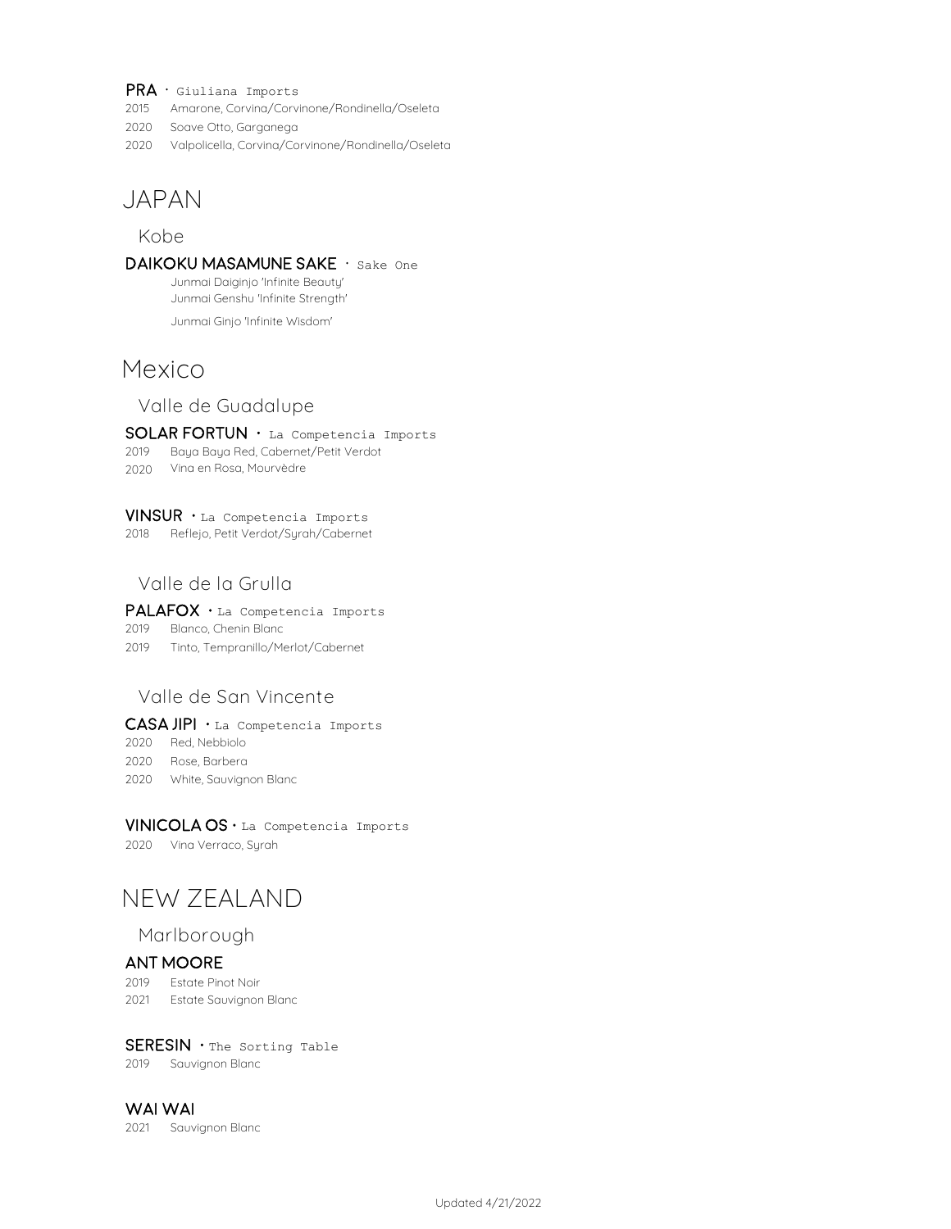- $PRA \cdot$  Giuliana Imports
- 2015 Amarone, Corvina/Corvinone/Rondinella/Oseleta
- 2020 Soave Otto, Garganega
- 2020 Valpolicella, Corvina/Corvinone/Rondinella/Oseleta

## **JAPAN**

## **Kobe**

DAIKOKU MASAMUNE SAKE · Sake One Junmai Daiginjo 'Infinite Beauty'

Junmai Genshu 'Infinite Strength'

Junmai Ginjo 'Infinite Wisdom'

## **Mexico**

**Valle de Guadalupe**

SOLAR FORTUN · La Competencia Imports

- 2019 Baya Baya Red, Cabernet/Petit Verdot
- 2020 Vina en Rosa, Mourvèdre

#### Vinsur · La Competencia Imports

2018 Reflejo, Petit Verdot/Syrah/Cabernet

## **Valle de la Grulla**

### PALAFOX · La Competencia Imports

- 2019 Blanco, Chenin Blanc
- 2019 Tinto, Tempranillo/Merlot/Cabernet

## **Valle de San Vincente**

#### CASA JIPI · La Competencia Imports

2020 Red, Nebbiolo 2020 Rose, Barbera

2020 White, Sauvignon Blanc

#### Vinicola OS · La Competencia Imports

2020 Vina Verraco, Syrah

## **NEW ZEALAND**

## **Marlborough**

#### Ant Moore

- 2019 Estate Pinot Noir
- 2021 Estate Sauvignon Blanc

#### SERESIN · The Sorting Table

2019 Sauvignon Blanc

#### Wai Wai

2021 Sauvignon Blanc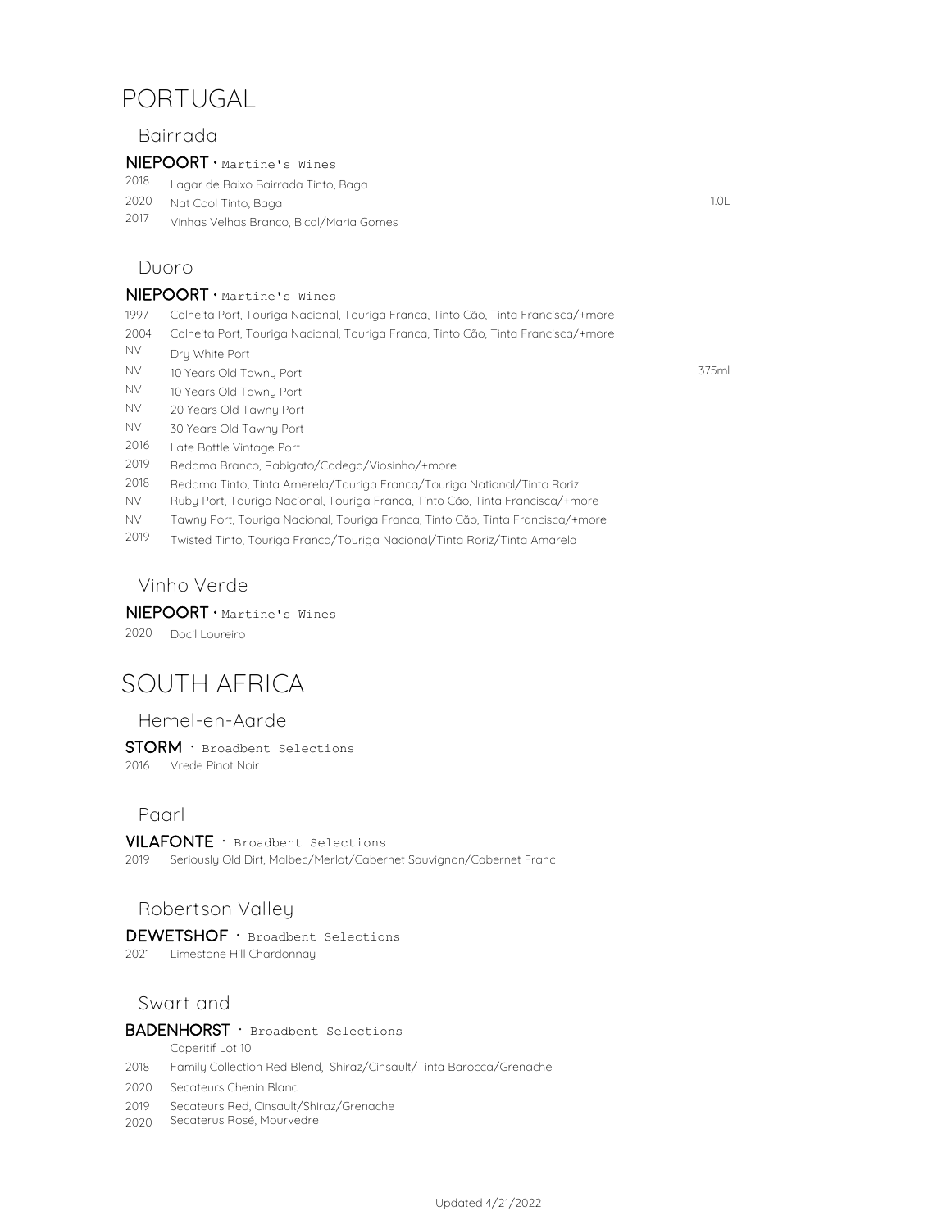# **PORTUGAL**

## **Bairrada**

#### NIEPOORT · Martine's Wines

2018 Lagar de Baixo Bairrada Tinto, Baga

- 2020 1.0L Nat Cool Tinto, Baga
- 2017 Vinhas Velhas Branco, Bical/Maria Gomes

## **Duoro**

### $NIEPOORT \cdot$  Martine's Wines

- 1997 Colheita Port, Touriga Nacional, Touriga Franca, Tinto Cão, Tinta Francisca/+more
- 2004 Colheita Port, Touriga Nacional, Touriga Franca, Tinto Cão, Tinta Francisca/+more
- NV Dry White Port
- NV 375ml 10 Years Old Tawny Port
- NV 10 Years Old Tawny Port
- NV 20 Years Old Tawny Port
- NV 30 Years Old Tawny Port
- 2016 Late Bottle Vintage Port
- 2019 Redoma Branco, Rabigato/Codega/Viosinho/+more
- 2018 Redoma Tinto, Tinta Amerela/Touriga Franca/Touriga National/Tinto Roriz
- NV Ruby Port, Touriga Nacional, Touriga Franca, Tinto Cão, Tinta Francisca/+more
- NV Tawny Port, Touriga Nacional, Touriga Franca, Tinto Cão, Tinta Francisca/+more
- 2019 Twisted Tinto, Touriga Franca/Touriga Nacional/Tinta Roriz/Tinta Amarela

## **Vinho Verde**

## NIEPOORT · Martine's Wines

2020 Docil Loureiro

# **SOUTH AFRICA**

## **Hemel-en-Aarde**

STORM · Broadbent Selections 2016 Vrede Pinot Noir

## **Paarl**

 $VILAFONTE \cdot$  Broadbent Selections

2019 Seriously Old Dirt, Malbec/Merlot/Cabernet Sauvignon/Cabernet Franc

## **Robertson Valley**

DEWETSHOF · Broadbent Selections 2021 Limestone Hill Chardonnay

## **Swartland**

## BADENHORST · Broadbent Selections

Caperitif Lot 10

- 2018 Family Collection Red Blend, Shiraz/Cinsault/Tinta Barocca/Grenache
- 2020 Secateurs Chenin Blanc
- 2019 Secateurs Red, Cinsault/Shiraz/Grenache
- 2020 Secaterus Rosé, Mourvedre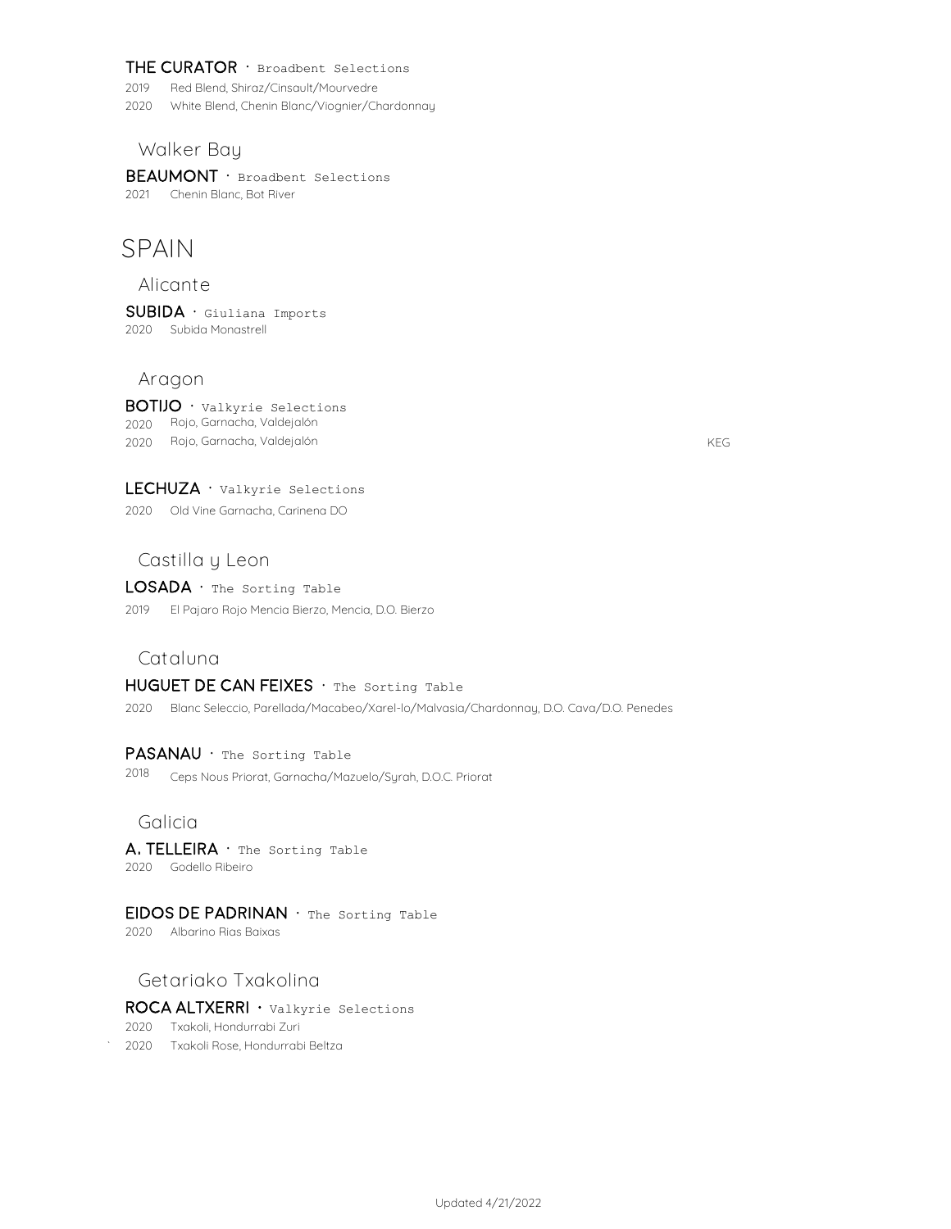#### THE CURATOR  $\cdot$  Broadbent Selections

2019 Red Blend, Shiraz/Cinsault/Mourvedre

2020 White Blend, Chenin Blanc/Viognier/Chardonnay

**Walker Bay**

BEAUMONT · Broadbent Selections 2021 Chenin Blanc, Bot River

# **SPAIN**

**Alicante**

SUBIDA · Giuliana Imports 2020 Subida Monastrell

## **Aragon**

BOTIJO · Valkyrie Selections 2020 Rojo, Garnacha, Valdejalón 2020 KEG Rojo, Garnacha, Valdejalón

## LECHUZA · Valkyrie Selections

2020 Old Vine Garnacha, Carinena DO

## **Castilla y Leon**

## LOSADA · The Sorting Table

2019 El Pajaro Rojo Mencia Bierzo, Mencia, D.O. Bierzo

## **Cataluna**

## HUGUET DE CAN FEIXES · The Sorting Table

2020 Blanc Seleccio, Parellada/Macabeo/Xarel-lo/Malvasia/Chardonnay, D.O. Cava/D.O. Penedes

#### PASANAU · The Sorting Table

2018 Ceps Nous Priorat, Garnacha/Mazuelo/Syrah, D.O.C. Priorat

## **Galicia**

A. TELLEIRA · The Sorting Table 2020 Godello Ribeiro

#### EIDOS DE PADRINAN  $\cdot$  The Sorting Table

2020 Albarino Rias Baixas

## **Getariako Txakolina**

## ROCA ALTXERRI · Valkyrie Selections

2020 Txakoli, Hondurrabi Zuri

` 2020 Txakoli Rose, Hondurrabi Beltza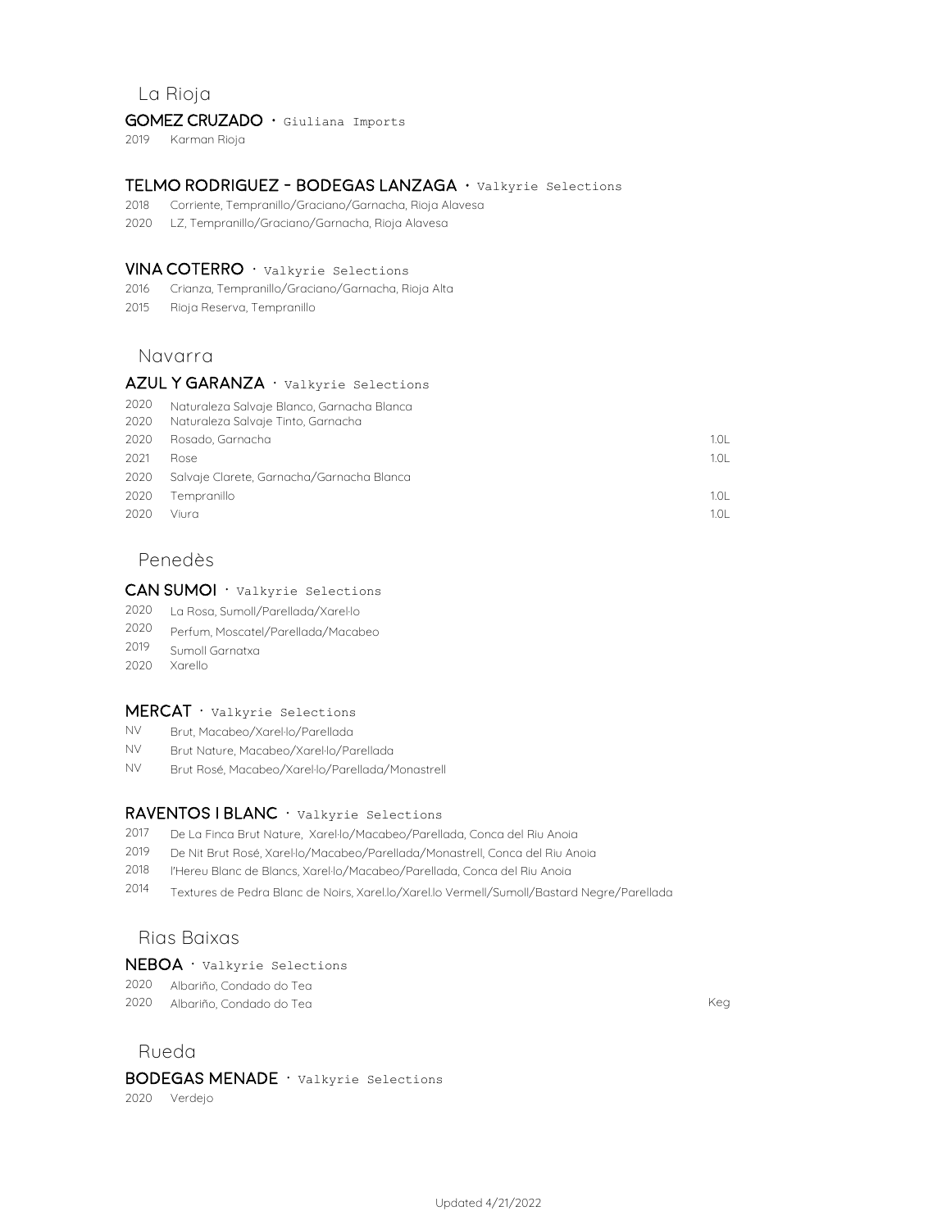## **La Rioja**

#### GOMEZ CRUZADO · Giuliana Imports

2019 Karman Rioja

#### Telmo Rodriguez - Bodegas Lanzaga · Valkyrie Selections

- 2018 Corriente, Tempranillo/Graciano/Garnacha, Rioja Alavesa
- 2020 LZ, Tempranillo/Graciano/Garnacha, Rioja Alavesa

#### $VINA COTERRO \cdot$  Valkyrie Selections

- 2016 Crianza, Tempranillo/Graciano/Garnacha, Rioja Alta
- 2015 Rioja Reserva, Tempranillo

## **Navarra**

## AZUL Y GARANZA · Valkyrie Selections

| 2020 | Naturaleza Salvaje Blanco, Garnacha Blanca |                  |
|------|--------------------------------------------|------------------|
| 2020 | Naturaleza Salvaje Tinto, Garnacha         |                  |
| 2020 | Rosado, Garnacha                           | 1.01             |
| 2021 | <b>Rose</b>                                | 1.0 <sub>L</sub> |
| 2020 | Salvaje Clarete, Garnacha/Garnacha Blanca  |                  |
| 2020 | Tempranillo                                | 1.0L             |
| 2020 | Viura                                      | 1.01             |
|      |                                            |                  |

## **Penedès**

## CAN SUMOI · Valkyrie Selections

- 2020 La Rosa, Sumoll/Parellada/Xarel·lo
- 2020 Perfum, Moscatel/Parellada/Macabeo
- 2019 Sumoll Garnatxa
- 2020 Xarello

## $MERCAT \cdot$  Valkyrie Selections

- NV Brut, Macabeo/Xarel·lo/Parellada
- NV Brut Nature, Macabeo/Xarel·lo/Parellada
- NV Brut Rosé, Macabeo/Xarel·lo/Parellada/Monastrell

#### RAVENTOS I BLANC · Valkyrie Selections

- 2017 De La Finca Brut Nature, Xarel·lo/Macabeo/Parellada, Conca del Riu Anoia
- 2019 De Nit Brut Rosé, Xarel·lo/Macabeo/Parellada/Monastrell, Conca del Riu Anoia
- 2018 l'Hereu Blanc de Blancs, Xarel·lo/Macabeo/Parellada, Conca del Riu Anoia
- 2014 Textures de Pedra Blanc de Noirs, Xarel.lo/Xarel.lo Vermell/Sumoll/Bastard Negre/Parellada

## **Rias Baixas**

#### NEBOA · Valkyrie Selections

- 2020 Albariño, Condado do Tea
- 2020 Keg Albariño, Condado do Tea

#### **Rueda**

## BODEGAS MENADE · Valkyrie Selections

2020 Verdejo